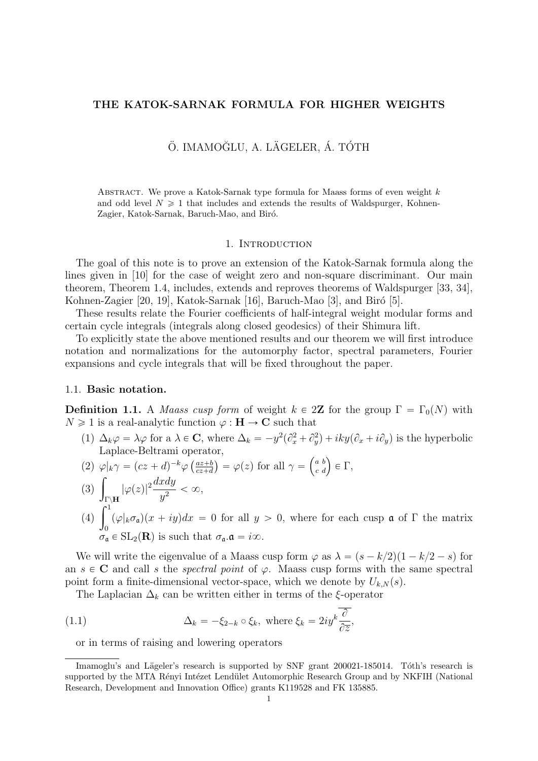### THE KATOK-SARNAK FORMULA FOR HIGHER WEIGHTS

# Ö. IMAMOĞLU, A. LÄGELER, Á. TÓTH

ABSTRACT. We prove a Katok-Sarnak type formula for Maass forms of even weight  $k$ and odd level  $N \geq 1$  that includes and extends the results of Waldspurger, Kohnen-Zagier, Katok-Sarnak, Baruch-Mao, and Biró.

#### 1. INTRODUCTION

The goal of this note is to prove an extension of the Katok-Sarnak formula along the lines given in [10] for the case of weight zero and non-square discriminant. Our main theorem, Theorem 1.4, includes, extends and reproves theorems of Waldspurger [33, 34], Kohnen-Zagier [20, 19], Katok-Sarnak [16], Baruch-Mao [3], and Biró [5].

These results relate the Fourier coefficients of half-integral weight modular forms and certain cycle integrals (integrals along closed geodesics) of their Shimura lift.

To explicitly state the above mentioned results and our theorem we will first introduce notation and normalizations for the automorphy factor, spectral parameters, Fourier expansions and cycle integrals that will be fixed throughout the paper.

#### 1.1. Basic notation.

**Definition 1.1.** A *Maass cusp form* of weight  $k \in 2\mathbb{Z}$  for the group  $\Gamma = \Gamma_0(N)$  with  $N \geq 1$  is a real-analytic function  $\varphi : H \to \mathbb{C}$  such that

- (1)  $\Delta_k \varphi = \lambda \varphi$  for a  $\lambda \in \mathbb{C}$ , where  $\Delta_k = -y^2(\partial_x^2 + \partial_y^2) + iky(\partial_x + i\partial_y)$  is the hyperbolic Laplace-Beltrami operator,  $\mathbf{r}$
- (2)  $\varphi|_{k}\gamma = (cz+d)^{-k}\varphi\left(\frac{az+b}{cz+d}\right)$  $\frac{az+b}{cz+d}$  =  $\varphi(z)$  for all  $\gamma =$ a b  $\begin{pmatrix} a & b \\ c & d \end{pmatrix} \in \Gamma,$
- (2)  $\frac{4}{3}$  $\Gamma\backslash\mathbf{H}$  $|\varphi(z)|^2 \frac{dxdy}{z^2}$  $rac{3}{y^2} < \infty,$  $J_{\Gamma}$ <sup>1</sup><br>(4)  $\int_1^1$
- $\mathbf{0}$  $(\varphi|_{k}\sigma_{a})(x + iy)dx = 0$  for all  $y > 0$ , where for each cusp a of  $\Gamma$  the matrix  $\sigma_{\mathfrak{a}} \in SL_2(\mathbf{R})$  is such that  $\sigma_{\mathfrak{a}}.\mathfrak{a} = i\infty$ .

We will write the eigenvalue of a Maass cusp form  $\varphi$  as  $\lambda = (s - k/2)(1 - k/2 - s)$  for an  $s \in \mathbb{C}$  and call s the spectral point of  $\varphi$ . Maass cusp forms with the same spectral point form a finite-dimensional vector-space, which we denote by  $U_{k,N}(s)$ .

The Laplacian  $\Delta_k$  can be written either in terms of the  $\xi$ -operator

(1.1) 
$$
\Delta_k = -\xi_{2-k} \circ \xi_k, \text{ where } \xi_k = 2iy^k \frac{\partial}{\partial \overline{z}},
$$

or in terms of raising and lowering operators

Imamoglu's and Lägeler's research is supported by SNF grant 200021-185014. Tóth's research is supported by the MTA Rényi Intézet Lendület Automorphic Research Group and by NKFIH (National Research, Development and Innovation Office) grants K119528 and FK 135885.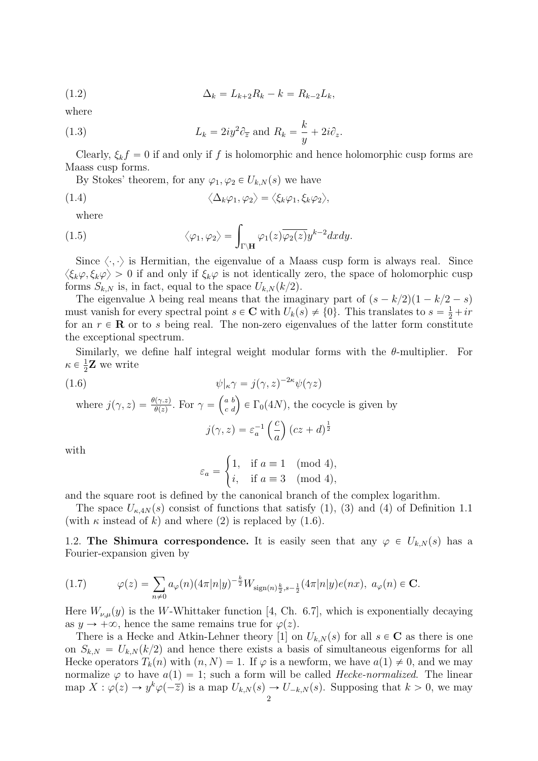(1.2) 
$$
\Delta_k = L_{k+2} R_k - k = R_{k-2} L_k,
$$

where

(1.3) 
$$
L_k = 2iy^2 \partial_{\overline{z}} \text{ and } R_k = \frac{k}{y} + 2i\partial_z.
$$

Clearly,  $\xi_k f = 0$  if and only if f is holomorphic and hence holomorphic cusp forms are Maass cusp forms.

By Stokes' theorem, for any  $\varphi_1, \varphi_2 \in U_{k,N}(s)$  we have

(1.4) 
$$
\langle \Delta_k \varphi_1, \varphi_2 \rangle = \langle \xi_k \varphi_1, \xi_k \varphi_2 \rangle,
$$

where

where  
\n(1.5) 
$$
\langle \varphi_1, \varphi_2 \rangle = \int_{\Gamma \backslash \mathbf{H}} \varphi_1(z) \overline{\varphi_2(z)} y^{k-2} dx dy.
$$

Since  $\langle \cdot, \cdot \rangle$  is Hermitian, the eigenvalue of a Maass cusp form is always real. Since  $\langle \xi_k \varphi, \xi_k \varphi \rangle > 0$  if and only if  $\xi_k \varphi$  is not identically zero, the space of holomorphic cusp forms  $S_{k,N}$  is, in fact, equal to the space  $U_{k,N}(k/2)$ .

The eigenvalue  $\lambda$  being real means that the imaginary part of  $(s - k/2)(1 - k/2 - s)$ must vanish for every spectral point  $s \in \mathbb{C}$  with  $U_k(s) \neq \{0\}$ . This translates to  $s = \frac{1}{2} + ir$ for an  $r \in \mathbf{R}$  or to s being real. The non-zero eigenvalues of the latter form constitute the exceptional spectrum.

Similarly, we define half integral weight modular forms with the  $\theta$ -multiplier. For  $\kappa \in \frac{1}{2}$  $\frac{1}{2}$ **Z** we write

(1.6) 
$$
\psi|_{\kappa} \gamma = j(\gamma, z)^{-2\kappa} \psi(\gamma z)
$$

where  $j(\gamma, z) = \frac{\theta(\gamma.z)}{\theta(z)}$ . For  $\gamma =$ a b  $(e^{a} b) \in \Gamma_0(4N)$ , the cocycle is given by  $\overline{c}$ 

#

$$
j(\gamma, z) = \varepsilon_a^{-1} \left(\frac{c}{a}\right) (cz + d)^{\frac{1}{2}}
$$

with

$$
\varepsilon_a = \begin{cases} 1, & \text{if } a \equiv 1 \pmod{4}, \\ i, & \text{if } a \equiv 3 \pmod{4}, \end{cases}
$$

and the square root is defined by the canonical branch of the complex logarithm.

The space  $U_{\kappa,4N}(s)$  consist of functions that satisfy (1), (3) and (4) of Definition 1.1 (with  $\kappa$  instead of  $k$ ) and where (2) is replaced by (1.6).

1.2. The Shimura correspondence. It is easily seen that any  $\varphi \in U_{k,N}(s)$  has a Fourier-expansion given by

(1.7) 
$$
\varphi(z) = \sum_{n \neq 0} a_{\varphi}(n) (4\pi |n|y)^{-\frac{k}{2}} W_{\text{sign}(n)\frac{k}{2}, s-\frac{1}{2}}(4\pi |n|y) e(nx), \ a_{\varphi}(n) \in \mathbf{C}.
$$

Here  $W_{\nu,\mu}(y)$  is the W-Whittaker function [4, Ch. 6.7], which is exponentially decaying as  $y \to +\infty$ , hence the same remains true for  $\varphi(z)$ .

There is a Hecke and Atkin-Lehner theory [1] on  $U_{k,N}(s)$  for all  $s \in \mathbb{C}$  as there is one on  $S_{k,N} = U_{k,N}(k/2)$  and hence there exists a basis of simultaneous eigenforms for all Hecke operators  $T_k(n)$  with  $(n, N) = 1$ . If  $\varphi$  is a newform, we have  $a(1) \neq 0$ , and we may normalize  $\varphi$  to have  $a(1) = 1$ ; such a form will be called *Hecke-normalized*. The linear map  $X: \varphi(z) \to y^k \varphi(-\overline{z})$  is a map  $U_{k,N}(s) \to U_{-k,N}(s)$ . Supposing that  $k > 0$ , we may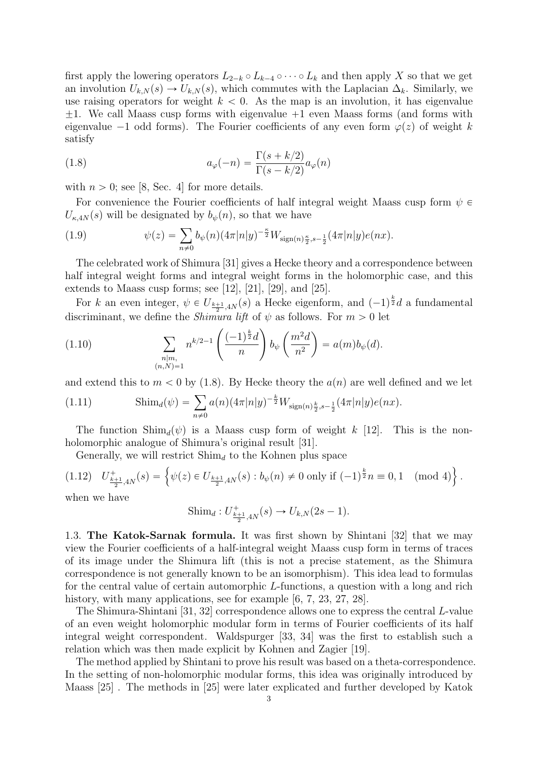first apply the lowering operators  $L_{2-k} \circ L_{k-4} \circ \cdots \circ L_k$  and then apply X so that we get an involution  $U_{k,N}(s) \to U_{k,N}(s)$ , which commutes with the Laplacian  $\Delta_k$ . Similarly, we use raising operators for weight  $k < 0$ . As the map is an involution, it has eigenvalue  $\pm 1$ . We call Maass cusp forms with eigenvalue  $+1$  even Maass forms (and forms with eigenvalue  $-1$  odd forms). The Fourier coefficients of any even form  $\varphi(z)$  of weight k satisfy

(1.8) 
$$
a_{\varphi}(-n) = \frac{\Gamma(s+k/2)}{\Gamma(s-k/2)} a_{\varphi}(n)
$$

with  $n > 0$ ; see [8, Sec. 4] for more details.

For convenience the Fourier coefficients of half integral weight Maass cusp form  $\psi \in$  $U_{\kappa,4N}(s)$  will be designated by  $b_{\psi}(n)$ , so that we have

(1.9) 
$$
\psi(z) = \sum_{n \neq 0} b_{\psi}(n) (4\pi |n|y)^{-\frac{\kappa}{2}} W_{\text{sign}(n)\frac{\kappa}{2},s-\frac{1}{2}} (4\pi |n|y) e(nx).
$$

The celebrated work of Shimura [31] gives a Hecke theory and a correspondence between half integral weight forms and integral weight forms in the holomorphic case, and this extends to Maass cusp forms; see [12], [21], [29], and [25].

For k an even integer,  $\psi \in U_{\frac{k+1}{2},4N}(s)$  a Hecke eigenform, and  $(-1)^{\frac{k}{2}}d$  a fundamental discriminant, we define the *Shimura lift* of  $\psi$  as follows. For  $m > 0$  let

(1.10) 
$$
\sum_{\substack{n|m,\\(n,N)=1}} n^{k/2-1} \left( \frac{(-1)^{\frac{k}{2}}d}{n} \right) b_{\psi} \left( \frac{m^2d}{n^2} \right) = a(m)b_{\psi}(d).
$$

and extend this to  $m < 0$  by (1.8). By Hecke theory the  $a(n)$  are well defined and we let

(1.11) 
$$
\text{Shim}_d(\psi) = \sum_{n \neq 0} a(n) (4\pi |n|y)^{-\frac{k}{2}} W_{\text{sign}(n)\frac{k}{2}, s-\frac{1}{2}} (4\pi |n|y) e(nx).
$$

The function  $\text{Shim}_d(\psi)$  is a Maass cusp form of weight k [12]. This is the nonholomorphic analogue of Shimura's original result [31].

 $\mathbf{r}$ 

Generally, we will restrict 
$$
\text{Shim}_d
$$
 to the Kohnen plus space  
\n(1.12)  $U^+_{\frac{k+1}{2},4N}(s) = \left\{ \psi(z) \in U_{\frac{k+1}{2},4N}(s) : b_{\psi}(n) \neq 0 \text{ only if } (-1)^{\frac{k}{2}}n \equiv 0, 1 \pmod{4} \right\}.$ 

when we have

Shim<sub>d</sub>: 
$$
U^+_{\frac{k+1}{2},4N}(s) \to U_{k,N}(2s-1)
$$
.

1.3. The Katok-Sarnak formula. It was first shown by Shintani [32] that we may view the Fourier coefficients of a half-integral weight Maass cusp form in terms of traces of its image under the Shimura lift (this is not a precise statement, as the Shimura correspondence is not generally known to be an isomorphism). This idea lead to formulas for the central value of certain automorphic L-functions, a question with a long and rich history, with many applications, see for example [6, 7, 23, 27, 28].

The Shimura-Shintani [31, 32] correspondence allows one to express the central L-value of an even weight holomorphic modular form in terms of Fourier coefficients of its half integral weight correspondent. Waldspurger [33, 34] was the first to establish such a relation which was then made explicit by Kohnen and Zagier [19].

The method applied by Shintani to prove his result was based on a theta-correspondence. In the setting of non-holomorphic modular forms, this idea was originally introduced by Maass [25] . The methods in [25] were later explicated and further developed by Katok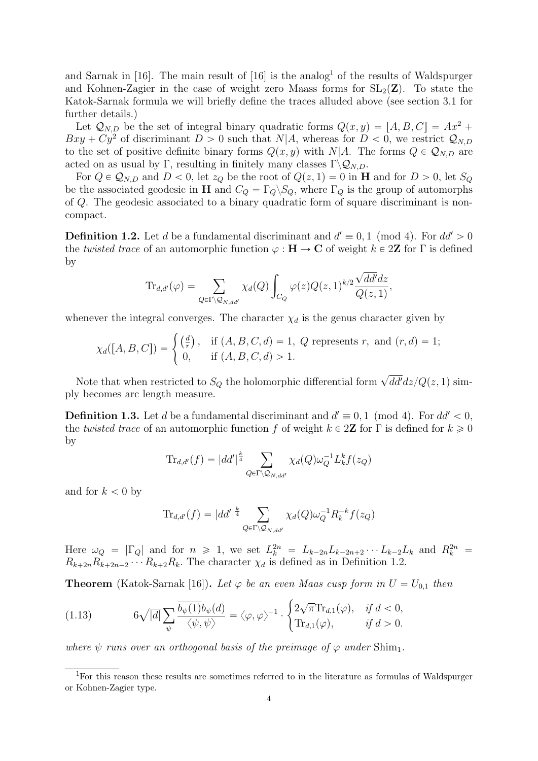and Sarnak in  $[16]$ . The main result of  $[16]$  is the analog<sup>1</sup> of the results of Waldspurger and Kohnen-Zagier in the case of weight zero Maass forms for  $SL_2(\mathbf{Z})$ . To state the Katok-Sarnak formula we will briefly define the traces alluded above (see section 3.1 for further details.)

Let  $\mathcal{Q}_{N,D}$  be the set of integral binary quadratic forms  $Q(x, y) = [A, B, C] = Ax^2 +$  $Bxy + Cy^2$  of discriminant  $D > 0$  such that  $N|A$ , whereas for  $D < 0$ , we restrict  $\mathcal{Q}_{N,D}$ to the set of positive definite binary forms  $Q(x, y)$  with N|A. The forms  $Q \in \mathcal{Q}_{N,D}$  are acted on as usual by Γ, resulting in finitely many classes  $\Gamma \backslash Q_{N,D}$ .

For  $Q \in \mathcal{Q}_{N,D}$  and  $D < 0$ , let  $z_Q$  be the root of  $Q(z, 1) = 0$  in **H** and for  $D > 0$ , let  $S_Q$ be the associated geodesic in H and  $C_Q = \Gamma_Q \backslash S_Q$ , where  $\Gamma_Q$  is the group of automorphs of Q. The geodesic associated to a binary quadratic form of square discriminant is noncompact.

**Definition 1.2.** Let d be a fundamental discriminant and  $d' \equiv 0, 1 \pmod{4}$ . For  $dd' > 0$ the twisted trace of an automorphic function  $\varphi : \mathbf{H} \to \mathbf{C}$  of weight  $k \in 2\mathbf{Z}$  for  $\Gamma$  is defined by

$$
\mathrm{Tr}_{d,d'}(\varphi) = \sum_{Q \in \Gamma \backslash \mathcal{Q}_{N,dd'}} \chi_d(Q) \int_{C_Q} \varphi(z) Q(z,1)^{k/2} \frac{\sqrt{dd'}dz}{Q(z,1)},
$$

whenever the integral converges. The character  $\chi_d$  is the genus character given by

$$
\chi_d([A, B, C]) = \begin{cases} \left(\frac{d}{r}\right), & \text{if } (A, B, C, d) = 1, Q \text{ represents } r, \text{ and } (r, d) = 1; \\ 0, & \text{if } (A, B, C, d) > 1. \end{cases}
$$

Note that when restricted to  $S_Q$  the holomorphic differential form  $\sqrt{dd'}dz/Q(z, 1)$  simply becomes arc length measure.

**Definition 1.3.** Let d be a fundamental discriminant and  $d' \equiv 0, 1 \pmod{4}$ . For  $dd' < 0$ , the twisted trace of an automorphic function f of weight  $k \in 2\mathbb{Z}$  for  $\Gamma$  is defined for  $k \geq 0$ by

$$
\text{Tr}_{d,d'}(f) = |dd'|^{\frac{k}{4}} \sum_{Q \in \Gamma \backslash \mathcal{Q}_{N,dd'}} \chi_d(Q) \omega_Q^{-1} L_k^k f(z_Q)
$$

and for  $k < 0$  by

$$
\mathrm{Tr}_{d,d'}(f) = |dd'|^{\frac{k}{4}} \sum_{Q \in \Gamma \backslash \mathcal{Q}_{N,dd'}} \chi_d(Q) \omega_Q^{-1} R_k^{-k} f(z_Q)
$$

Here  $\omega_Q = |\Gamma_Q|$  and for  $n \ge 1$ , we set  $L_k^{2n} = L_{k-2n}L_{k-2n+2}\cdots L_{k-2}L_k$  and  $R_k^{2n} =$  $R_{k+2n}R_{k+2n-2} \cdots R_{k+2}R_k$ . The character  $\chi_d$  is defined as in Definition 1.2.

#

**Theorem** (Katok-Sarnak [16]). Let  $\varphi$  be an even Maas cusp form in  $U = U_{0,1}$  then

(1.13) 
$$
6\sqrt{|d|} \sum_{\psi} \frac{\overline{b_{\psi}(1)} b_{\psi}(d)}{\langle \psi, \psi \rangle} = \langle \varphi, \varphi \rangle^{-1} \cdot \begin{cases} 2\sqrt{\pi} \text{Tr}_{d,1}(\varphi), & \text{if } d < 0, \\ \text{Tr}_{d,1}(\varphi), & \text{if } d > 0. \end{cases}
$$

where  $\psi$  runs over an orthogonal basis of the preimage of  $\varphi$  under Shim<sub>1</sub>.

<sup>&</sup>lt;sup>1</sup>For this reason these results are sometimes referred to in the literature as formulas of Waldspurger or Kohnen-Zagier type.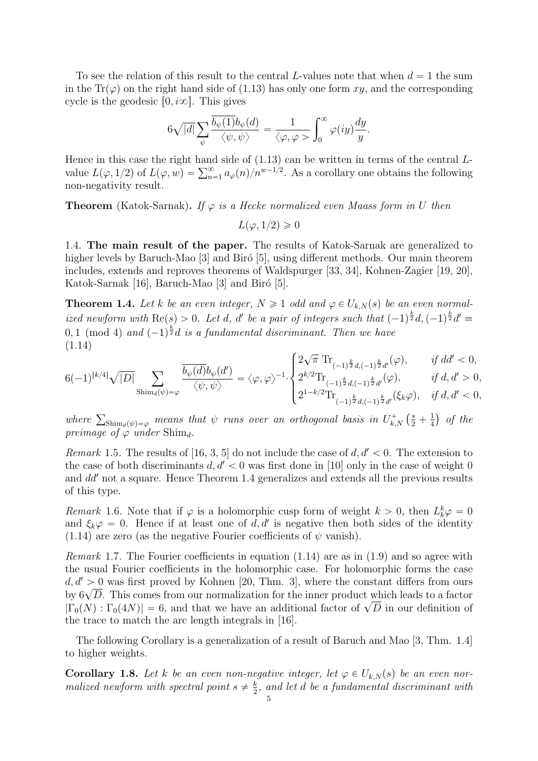To see the relation of this result to the central L-values note that when  $d = 1$  the sum in the Tr $(\varphi)$  on the right hand side of (1.13) has only one form xy, and the corresponding cycle is the geodesic  $[0, i\infty]$ . This gives

$$
6\sqrt{|d|}\sum_{\psi}\frac{\overline{b_{\psi}(1)}b_{\psi}(d)}{\langle\psi,\psi\rangle}=\frac{1}{\langle\varphi,\varphi\right)}\int_{0}^{\infty}\varphi(iy)\frac{dy}{y}.
$$

Hence in this case the right hand side of  $(1.13)$  can be written in terms of the central  $L$ -Hence in this case the right hand side of (1.13) can be written in terms of the central L-<br>value  $L(\varphi, 1/2)$  of  $L(\varphi, w) = \sum_{n=1}^{\infty} a_{\varphi}(n)/n^{w-1/2}$ . As a corollary one obtains the following non-negativity result.

**Theorem** (Katok-Sarnak). If  $\varphi$  is a Hecke normalized even Maass form in U then

 $L(\varphi, 1/2) \geq 0$ 

1.4. The main result of the paper. The results of Katok-Sarnak are generalized to higher levels by Baruch-Mao [3] and Biró [5], using different methods. Our main theorem includes, extends and reproves theorems of Waldspurger [33, 34], Kohnen-Zagier [19, 20], Katok-Sarnak [16], Baruch-Mao [3] and Biró [5].

**Theorem 1.4.** Let k be an even integer,  $N \geq 1$  odd and  $\varphi \in U_{k,N}(s)$  be an even normalized newform with  $\text{Re}(s) > 0$ . Let d, d' be a pair of integers such that  $(-1)^{\frac{k}{2}}d, (-1)^{\frac{k}{2}}d' \equiv$  $0,1 \pmod{4}$  and  $(-1)^{\frac{k}{2}}d$  is a fundamental discriminant. Then we have (1.14) ?

$$
6(-1)^{\lfloor k/4\rfloor}\sqrt{|D|}\sum_{\text{Shim}_d(\psi)=\varphi}\frac{\overline{b_\psi(d)}b_\psi(d')}{\langle\psi,\psi\rangle}=\langle\varphi,\varphi\rangle^{-1}\cdot\begin{cases}2\sqrt{\pi}\;\text{Tr}_{(-1)^{\frac{k}{2}}d,(-1)^{\frac{k}{2}}d'}(\varphi),&\text{ if } dd'<0,\\2^{k/2}\text{Tr}_{(-1)^{\frac{k}{2}}d,(-1)^{\frac{k}{2}}d'}(\varphi),&\text{ if } d,d'>0,\\2^{1-k/2}\text{Tr}_{(-1)^{\frac{k}{2}}d,(-1)^{\frac{k}{2}}d'}(\xi_k\varphi),&\text{ if } d,d'<0,\\2^{1-k/2}\text{Tr}_{(-1)^{\frac{k}{2}}d,(-1)^{\frac{k}{2}}d'}(\xi_k\varphi),&\text{ if } d,d'<0,\end{cases}
$$

where  $\sum_{\text{Shim}_d(\psi)=\varphi}$  means that  $\psi$  runs over an orthogonal basis in  $U_{k,N}^+$  (  $\frac{s}{2} + \frac{1}{4}$ 4 of the preimage of  $\varphi$  under Shim<sub>d</sub>.

Remark 1.5. The results of [16, 3, 5] do not include the case of  $d, d' < 0$ . The extension to the case of both discriminants  $d, d' < 0$  was first done in [10] only in the case of weight 0 and  $dd'$  not a square. Hence Theorem 1.4 generalizes and extends all the previous results of this type.

Remark 1.6. Note that if  $\varphi$  is a holomorphic cusp form of weight  $k > 0$ , then  $L_k^k \varphi = 0$ and  $\xi_k \varphi = 0$ . Hence if at least one of d, d' is negative then both sides of the identity (1.14) are zero (as the negative Fourier coefficients of  $\psi$  vanish).

*Remark* 1.7. The Fourier coefficients in equation  $(1.14)$  are as in  $(1.9)$  and so agree with the usual Fourier coefficients in the holomorphic case. For holomorphic forms the case  $d, d' > 0$  was first proved by Kohnen [20, Thm. 3], where the constant differs from ours  $a, a > 0$  was first proved by Konnen [20, 1 nm. 5], where the constant differs from ours<br>by  $6\sqrt{D}$ . This comes from our normalization for the inner product which leads to a factor by  $\delta \sqrt{D}$ . This comes from our normalization for the linear product which leads to a factor  $|\Gamma_0(N): \Gamma_0(4N)| = 6$ , and that we have an additional factor of  $\sqrt{D}$  in our definition of the trace to match the arc length integrals in [16].

The following Corollary is a generalization of a result of Baruch and Mao [3, Thm. 1.4] to higher weights.

**Corollary 1.8.** Let k be an even non-negative integer, let  $\varphi \in U_{k,N}(s)$  be an even normalized newform with spectral point  $s \neq \frac{k}{2}$  $\frac{k}{2}$ , and let d be a fundamental discriminant with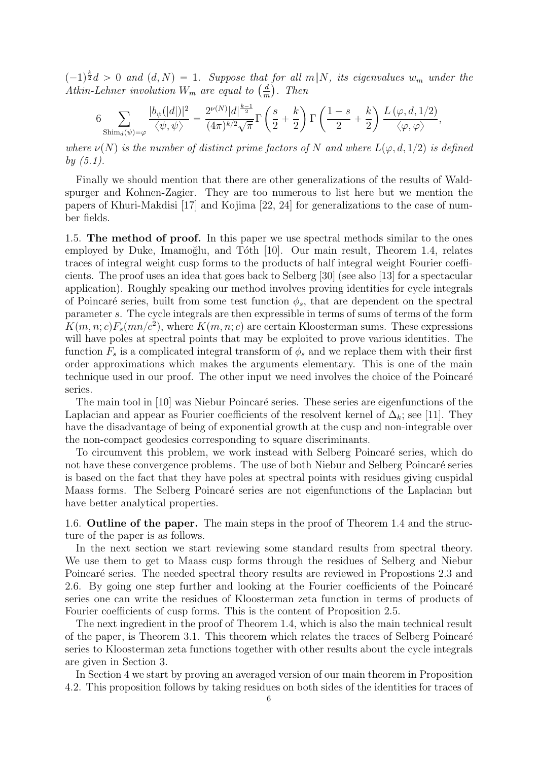$(-1)^{\frac{k}{2}}d > 0$  and  $(d, N) = 1$ . Suppose that for all m||N, its eigenvalues w<sub>m</sub> under the  $(-1)^{\overline{z}}d > 0$  and  $(d, N) = 1$ . Suppose that<br>Atkin-Lehner involution  $W_m$  are equal to  $\left(\frac{d}{dt}\right)$  $\frac{d}{m}$ ). Then

$$
6\sum_{\text{Shim}_d(\psi)=\varphi}\frac{|b_\psi(|d|)|^2}{\langle\psi,\psi\rangle}=\frac{2^{\nu(N)}|d|^{\frac{k-1}{2}}}{(4\pi)^{k/2}\sqrt{\pi}}\Gamma\left(\frac{s}{2}+\frac{k}{2}\right)\Gamma\left(\frac{1-s}{2}+\frac{k}{2}\right)\frac{L\left(\varphi,d,1/2\right)}{\langle\varphi,\varphi\rangle},
$$

where  $\nu(N)$  is the number of distinct prime factors of N and where  $L(\varphi, d, 1/2)$  is defined by (5.1).

Finally we should mention that there are other generalizations of the results of Waldspurger and Kohnen-Zagier. They are too numerous to list here but we mention the papers of Khuri-Makdisi [17] and Kojima [22, 24] for generalizations to the case of number fields.

1.5. The method of proof. In this paper we use spectral methods similar to the ones employed by Duke, Imamoğlu, and Tóth  $[10]$ . Our main result, Theorem 1.4, relates traces of integral weight cusp forms to the products of half integral weight Fourier coefficients. The proof uses an idea that goes back to Selberg [30] (see also [13] for a spectacular application). Roughly speaking our method involves proving identities for cycle integrals of Poincaré series, built from some test function  $\phi_s$ , that are dependent on the spectral parameter s. The cycle integrals are then expressible in terms of sums of terms of the form  $K(m, n; c)F_s(mn/c^2)$ , where  $K(m, n; c)$  are certain Kloosterman sums. These expressions will have poles at spectral points that may be exploited to prove various identities. The function  $F_s$  is a complicated integral transform of  $\phi_s$  and we replace them with their first order approximations which makes the arguments elementary. This is one of the main technique used in our proof. The other input we need involves the choice of the Poincaré series.

The main tool in [10] was Niebur Poincaré series. These series are eigenfunctions of the Laplacian and appear as Fourier coefficients of the resolvent kernel of  $\Delta_k$ ; see [11]. They have the disadvantage of being of exponential growth at the cusp and non-integrable over the non-compact geodesics corresponding to square discriminants.

To circumvent this problem, we work instead with Selberg Poincar´e series, which do not have these convergence problems. The use of both Niebur and Selberg Poincaré series is based on the fact that they have poles at spectral points with residues giving cuspidal Maass forms. The Selberg Poincaré series are not eigenfunctions of the Laplacian but have better analytical properties.

1.6. Outline of the paper. The main steps in the proof of Theorem 1.4 and the structure of the paper is as follows.

In the next section we start reviewing some standard results from spectral theory. We use them to get to Maass cusp forms through the residues of Selberg and Niebur Poincaré series. The needed spectral theory results are reviewed in Propostions 2.3 and 2.6. By going one step further and looking at the Fourier coefficients of the Poincaré series one can write the residues of Kloosterman zeta function in terms of products of Fourier coefficients of cusp forms. This is the content of Proposition 2.5.

The next ingredient in the proof of Theorem 1.4, which is also the main technical result of the paper, is Theorem 3.1. This theorem which relates the traces of Selberg Poincaré series to Kloosterman zeta functions together with other results about the cycle integrals are given in Section 3.

In Section 4 we start by proving an averaged version of our main theorem in Proposition 4.2. This proposition follows by taking residues on both sides of the identities for traces of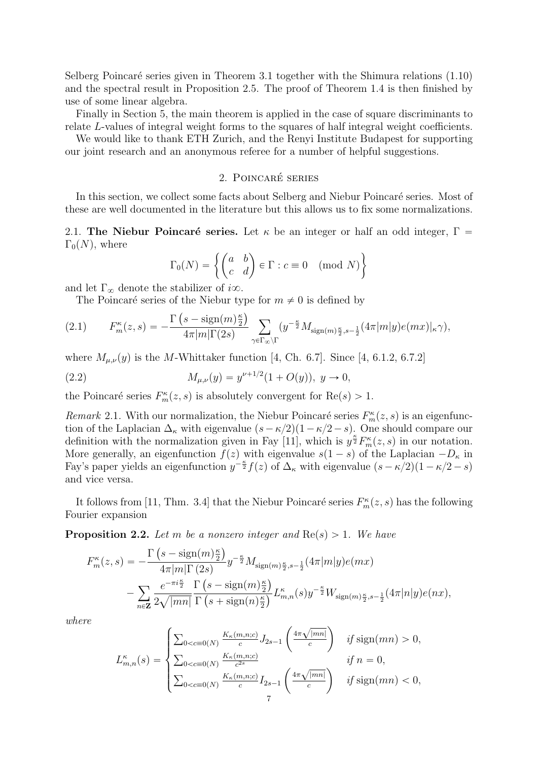Selberg Poincaré series given in Theorem 3.1 together with the Shimura relations  $(1.10)$ and the spectral result in Proposition 2.5. The proof of Theorem 1.4 is then finished by use of some linear algebra.

Finally in Section 5, the main theorem is applied in the case of square discriminants to relate L-values of integral weight forms to the squares of half integral weight coefficients.

We would like to thank ETH Zurich, and the Renyi Institute Budapest for supporting our joint research and an anonymous referee for a number of helpful suggestions.

# 2. POINCARÉ SERIES

In this section, we collect some facts about Selberg and Niebur Poincaré series. Most of these are well documented in the literature but this allows us to fix some normalizations.

2.1. The Niebur Poincaré series. Let  $\kappa$  be an integer or half an odd integer,  $\Gamma =$  $\Gamma_0(N)$ , where \*

$$
\Gamma_0(N) = \left\{ \begin{pmatrix} a & b \\ c & d \end{pmatrix} \in \Gamma : c \equiv 0 \pmod{N} \right\}
$$

and let  $\Gamma_{\infty}$  denote the stabilizer of i $\infty$ .

The Poincaré series of the Niebur type for  $m \neq 0$  is defined by

$$
(2.1) \tF_m^{\kappa}(z,s) = -\frac{\Gamma\left(s - \text{sign}(m)\frac{\kappa}{2}\right)}{4\pi|m|\Gamma(2s)} \sum_{\gamma \in \Gamma_{\infty}\backslash\Gamma} (y^{-\frac{\kappa}{2}} M_{\text{sign}(m)\frac{\kappa}{2},s-\frac{1}{2}}(4\pi |m|y)e(mx)|_{\kappa}\gamma),
$$

where  $M_{\mu,\nu}(y)$  is the M-Whittaker function [4, Ch. 6.7]. Since [4, 6.1.2, 6.7.2]

(2.2) 
$$
M_{\mu,\nu}(y) = y^{\nu+1/2}(1+O(y)), y \to 0,
$$

the Poincaré series  $F_m^{\kappa}(z, s)$  is absolutely convergent for  $\text{Re}(s) > 1$ .

Remark 2.1. With our normalization, the Niebur Poincaré series  $F_m^{\kappa}(z, s)$  is an eigenfunction of the Laplacian  $\Delta_{\kappa}$  with eigenvalue  $(s - \kappa/2)(1 - \kappa/2 - s)$ . One should compare our definition with the normalization given in Fay [11], which is  $y^{\frac{\kappa}{2}} F_m^{\kappa}(z, s)$  in our notation. More generally, an eigenfunction  $f(z)$  with eigenvalue  $s(1 - s)$  of the Laplacian  $-D_{\kappa}$  in Fay's paper yields an eigenfunction  $y^{-\frac{\kappa}{2}}f(z)$  of  $\Delta_{\kappa}$  with eigenvalue  $(s-\kappa/2)(1-\kappa/2-s)$ and vice versa.

It follows from [11, Thm. 3.4] that the Niebur Poincaré series  $F_m^{\kappa}(z, s)$  has the following Fourier expansion

**Proposition 2.2.** Let m be a nonzero integer and  $Re(s) > 1$ . We have

$$
F_{m}^{\kappa}(z,s) = -\frac{\Gamma\left(s - \text{sign}(m)\frac{\kappa}{2}\right)}{4\pi|m|\Gamma\left(2s\right)} y^{-\frac{\kappa}{2}} M_{\text{sign}(m)\frac{\kappa}{2},s-\frac{1}{2}}(4\pi|m|y)e(mx) - \sum_{n\in\mathbf{Z}} \frac{e^{-\pi i \frac{\kappa}{2}}}{2\sqrt{|mn|}} \frac{\Gamma\left(s - \text{sign}(m)\frac{\kappa}{2}\right)}{\Gamma\left(s + \text{sign}(n)\frac{\kappa}{2}\right)} L_{m,n}^{\kappa}(s) y^{-\frac{\kappa}{2}} W_{\text{sign}(m)\frac{\kappa}{2},s-\frac{1}{2}}(4\pi|n|y)e(nx),
$$

˙

where

$$
L_{m,n}^{\kappa}(s) = \begin{cases} \sum_{0 < c \equiv 0(N)} \frac{K_{\kappa}(m,n;c)}{c} J_{2s-1} \left( \frac{4\pi\sqrt{|mn|}}{c} \right) & \text{if sign}(mn) > 0, \\ \sum_{0 < c \equiv 0(N)} \frac{K_{\kappa}(m,n;c)}{c^{2s}} & \text{if } n = 0, \\ \sum_{0 < c \equiv 0(N)} \frac{K_{\kappa}(m,n;c)}{c} I_{2s-1} \left( \frac{4\pi\sqrt{|mn|}}{c} \right) & \text{if sign}(mn) < 0, \end{cases}
$$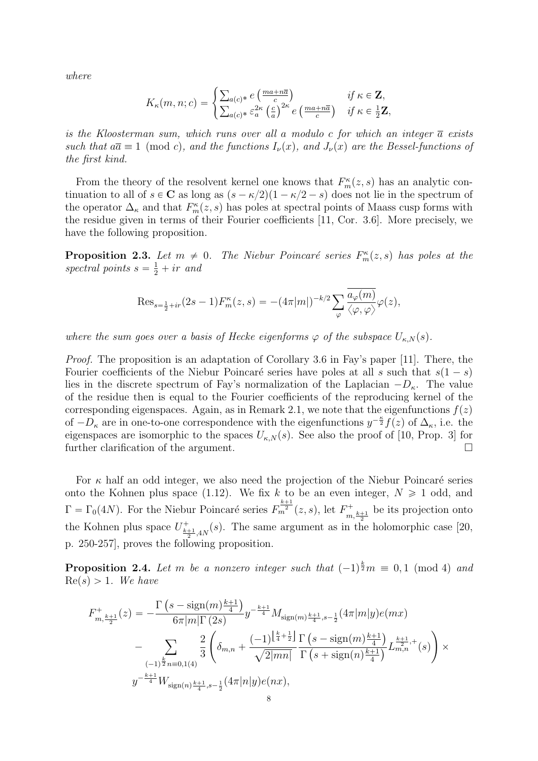where

$$
K_{\kappa}(m, n; c) = \begin{cases} \sum_{a(c)^*} e\left(\frac{ma + n\overline{a}}{c}\right) & \text{if } \kappa \in \mathbf{Z},\\ \sum_{a(c)^*} \varepsilon_a^{2\kappa} \left(\frac{c}{a}\right)^{2\kappa} e\left(\frac{ma + n\overline{a}}{c}\right) & \text{if } \kappa \in \frac{1}{2}\mathbf{Z}, \end{cases}
$$

is the Kloosterman sum, which runs over all a modulo c for which an integer  $\bar{a}$  exists such that  $a\overline{a} \equiv 1 \pmod{c}$ , and the functions  $I_{\nu}(x)$ , and  $J_{\nu}(x)$  are the Bessel-functions of the first kind.

From the theory of the resolvent kernel one knows that  $F_m^{\kappa}(z, s)$  has an analytic continuation to all of  $s \in \mathbb{C}$  as long as  $(s - \kappa/2)(1 - \kappa/2 - s)$  does not lie in the spectrum of the operator  $\Delta_{\kappa}$  and that  $F_{m}^{\kappa}(z, s)$  has poles at spectral points of Maass cusp forms with the residue given in terms of their Fourier coefficients [11, Cor. 3.6]. More precisely, we have the following proposition.

**Proposition 2.3.** Let  $m \neq 0$ . The Niebur Poincaré series  $F_m^{\kappa}(z, s)$  has poles at the spectral points  $s = \frac{1}{2} + ir$  and

$$
\operatorname{Res}_{s=\frac{1}{2}+ir}(2s-1)F_m^{\kappa}(z,s) = -(4\pi|m|)^{-k/2} \sum_{\varphi} \frac{\overline{a_{\varphi}(m)}}{\langle \varphi, \varphi \rangle} \varphi(z),
$$

where the sum goes over a basis of Hecke eigenforms  $\varphi$  of the subspace  $U_{\kappa,N}(s)$ .

Proof. The proposition is an adaptation of Corollary 3.6 in Fay's paper [11]. There, the Fourier coefficients of the Niebur Poincaré series have poles at all s such that  $s(1 - s)$ lies in the discrete spectrum of Fay's normalization of the Laplacian  $-D_{\kappa}$ . The value of the residue then is equal to the Fourier coefficients of the reproducing kernel of the corresponding eigenspaces. Again, as in Remark 2.1, we note that the eigenfunctions  $f(z)$ of  $-D_{\kappa}$  are in one-to-one correspondence with the eigenfunctions  $y^{-\frac{\kappa}{2}}f(z)$  of  $\Delta_{\kappa}$ , i.e. the eigenspaces are isomorphic to the spaces  $U_{\kappa,N}(s)$ . See also the proof of [10, Prop. 3] for further clarification of the argument.

For  $\kappa$  half an odd integer, we also need the projection of the Niebur Poincaré series onto the Kohnen plus space (1.12). We fix k to be an even integer,  $N \geq 1$  odd, and  $\Gamma = \Gamma_0(4N)$ . For the Niebur Poincaré series  $F_m^{\frac{k+1}{2}}(z, s)$ , let  $F_{m, \frac{k+1}{2}}^+$  be its projection onto the Kohnen plus space  $U^+_{\frac{k+1}{2},4N}(s)$ . The same argument as in the holomorphic case [20, p. 250-257], proves the following proposition.

**Proposition 2.4.** Let m be a nonzero integer such that  $(-1)^{\frac{k}{2}}m \equiv 0, 1 \pmod{4}$  and  $Re(s) > 1$ . We have

$$
F_{m,\frac{k+1}{2}}^{+}(z) = -\frac{\Gamma\left(s - \text{sign}(m)\frac{k+1}{4}\right)}{6\pi |m|\Gamma\left(2s\right)} y^{-\frac{k+1}{4}} M_{\text{sign}(m)\frac{k+1}{4},s-\frac{1}{2}}(4\pi |m|y)e(mx)
$$
  

$$
-\sum_{(-1)^{\frac{k}{2}}n\equiv 0,1(4)} \frac{2}{3} \left( \delta_{m,n} + \frac{(-1)^{\left\lfloor \frac{k}{4} + \frac{1}{2} \right\rfloor}}{\sqrt{2|mn|}} \frac{\Gamma\left(s - \text{sign}(m)\frac{k+1}{4}\right)}{\Gamma\left(s + \text{sign}(n)\frac{k+1}{4}\right)} L_{m,n}^{\frac{k+1}{2},+}(s) \right) \times
$$
  

$$
y^{-\frac{k+1}{4}} W_{\text{sign}(n)\frac{k+1}{4},s-\frac{1}{2}}(4\pi |n|y)e(nx),
$$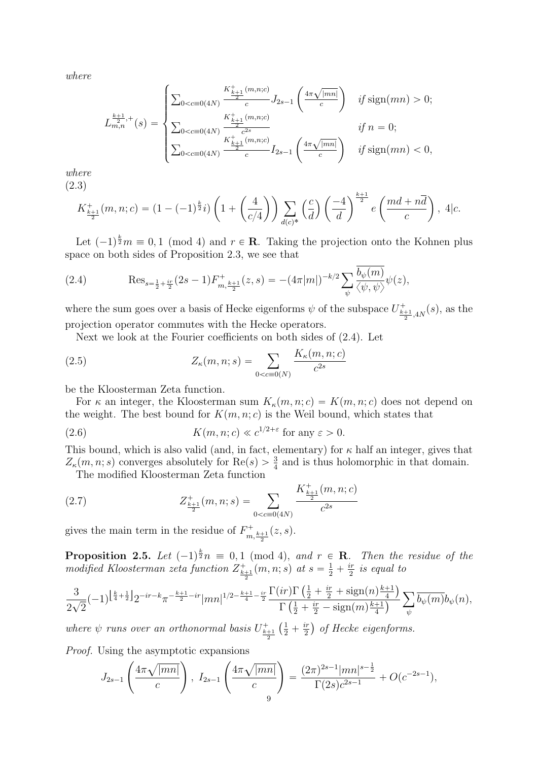where

$$
L_{m,n}^{\frac{k+1}{2},+}(s) = \begin{cases} \sum_{0 < c \equiv 0(4N)} \frac{K_{\frac{k+1}{2}}^{+}(m,n;c)}{c} J_{2s-1} \left( \frac{4\pi\sqrt{|mn|}}{c} \right) & \text{if sign}(mn) > 0; \\ \sum_{0 < c \equiv 0(4N)} \frac{K_{\frac{k+1}{2}}^{+}(m,n;c)}{c^{2s}} & \text{if } n = 0; \\ \sum_{0 < c \equiv 0(4N)} \frac{K_{\frac{k+1}{2}}^{+}(m,n;c)}{c} I_{2s-1} \left( \frac{4\pi\sqrt{|mn|}}{c} \right) & \text{if sign}(mn) < 0, \end{cases}
$$

where (2.3)

$$
K_{\frac{k+1}{2}}^+(m,n;c) = (1 - (-1)^{\frac{k}{2}}i) \left(1 + \left(\frac{4}{c/4}\right)\right) \sum_{d(c)^*} \left(\frac{c}{d}\right) \left(\frac{-4}{d}\right)^{\frac{k+1}{2}} e\left(\frac{md + n\overline{d}}{c}\right), \ 4|c.
$$

Let  $(-1)^{\frac{k}{2}}m \equiv 0, 1 \pmod{4}$  and  $r \in \mathbb{R}$ . Taking the projection onto the Kohnen plus space on both sides of Proposition 2.3, we see that

(2.4) 
$$
\operatorname{Res}_{s=\frac{1}{2}+\frac{i\pi}{2}}(2s-1)F_{m,\frac{k+1}{2}}^{+}(z,s) = -(4\pi|m|)^{-k/2}\sum_{\psi}\frac{\overline{b_{\psi}(m)}}{\langle\psi,\psi\rangle}\psi(z),
$$

where the sum goes over a basis of Hecke eigenforms  $\psi$  of the subspace  $U^{\dagger}_{\frac{k+1}{2},4N}(s)$ , as the projection operator commutes with the Hecke operators.

Next we look at the Fourier coefficients on both sides of (2.4). Let

(2.5) 
$$
Z_{\kappa}(m, n; s) = \sum_{0 < c \equiv 0(N)} \frac{K_{\kappa}(m, n; c)}{c^{2s}}
$$

be the Kloosterman Zeta function.

For  $\kappa$  an integer, the Kloosterman sum  $K_{\kappa}(m, n; c) = K(m, n; c)$  does not depend on the weight. The best bound for  $K(m, n; c)$  is the Weil bound, which states that

(2.6) 
$$
K(m, n; c) \ll c^{1/2 + \varepsilon} \text{ for any } \varepsilon > 0.
$$

This bound, which is also valid (and, in fact, elementary) for  $\kappa$  half an integer, gives that  $Z_{\kappa}(m, n; s)$  converges absolutely for  $\text{Re}(s) > \frac{3}{4}$  and is thus holomorphic in that domain.

The modified Kloosterman Zeta function

(2.7) 
$$
Z_{\frac{k+1}{2}}^+(m,n;s) = \sum_{0 < c \equiv 0(4N)} \frac{K_{\frac{k+1}{2}}^+(m,n;c)}{c^{2s}}
$$

gives the main term in the residue of  $F_{m, \frac{k+1}{2}}^+(z, s)$ .

**Proposition 2.5.** Let  $(-1)^{\frac{k}{2}}n \equiv 0, 1 \pmod{4}$ , and  $r \in \mathbb{R}$ . Then the residue of the modified Kloosterman zeta function  $Z_{\frac{k+1}{2}}^+(m,n;s)$  at  $s=\frac{1}{2}+\frac{ir}{2}$  $\frac{ir}{2}$  is equal to  $\overline{a}$   $\overline{a}$   $\overline{a}$   $\overline{a}$   $\overline{a}$   $\overline{a}$   $\overline{a}$   $\overline{a}$   $\overline{a}$   $\overline{a}$   $\overline{a}$   $\overline{a}$   $\overline{a}$   $\overline{a}$   $\overline{a}$   $\overline{a}$   $\overline{a}$   $\overline{a}$   $\overline{a}$   $\overline{a}$   $\overline{a}$   $\overline{a}$   $\overline{a}$   $\overline{a}$   $\overline{$ 

$$
\frac{3}{2\sqrt{2}}(-1)^{\left\lfloor \frac{k}{4}+\frac{1}{2}\right\rfloor}2^{-ir-k}\pi^{-\frac{k+1}{2}-ir}|mn|^{1/2-\frac{k+1}{4}-\frac{ir}{2}}\frac{\Gamma(ir)\Gamma\left(\frac{1}{2}+\frac{ir}{2}+\text{sign}(n)^{\frac{k+1}{4}}\right)}{\Gamma\left(\frac{1}{2}+\frac{ir}{2}-\text{sign}(m)^{\frac{k+1}{4}}\right)}\sum_{\psi}\overline{b_{\psi}(m)}b_{\psi}(n),
$$

where  $\psi$  runs over an orthonormal basis  $U^+_{\frac{k+1}{2}}$  $\left(\frac{1}{2} + \frac{i r}{2}\right)$ 2 of Hecke eigenforms.

*Proof.* Using the asymptotic expansions

$$
J_{2s-1}\left(\frac{4\pi\sqrt{|mn|}}{c}\right), I_{2s-1}\left(\frac{4\pi\sqrt{|mn|}}{c}\right) = \frac{(2\pi)^{2s-1}|mn|^{s-\frac{1}{2}}}{\Gamma(2s)c^{2s-1}} + O(c^{-2s-1}),
$$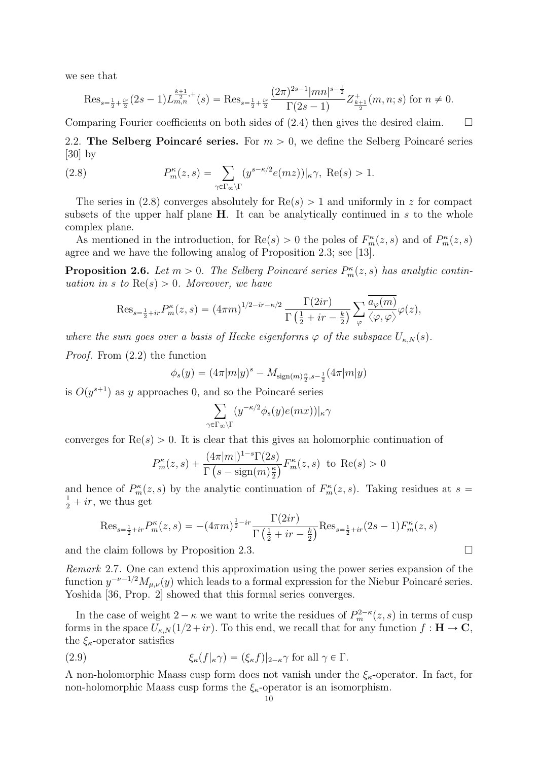we see that

$$
\operatorname{Res}_{s=\frac{1}{2}+\frac{ir}{2}}(2s-1)L_{m,n}^{\frac{k+1}{2},+}(s)=\operatorname{Res}_{s=\frac{1}{2}+\frac{ir}{2}}\frac{(2\pi)^{2s-1}|mn|^{s-\frac{1}{2}}}{\Gamma(2s-1)}Z_{\frac{k+1}{2}}^+(m,n;s) \text{ for } n\neq 0.
$$

Comparing Fourier coefficients on both sides of  $(2.4)$  then gives the desired claim.  $\square$ 

2.2. The Selberg Poincaré series. For  $m > 0$ , we define the Selberg Poincaré series [30] by

(2.8) 
$$
P_m^{\kappa}(z,s) = \sum_{\gamma \in \Gamma_{\infty} \backslash \Gamma} (y^{s-\kappa/2} e(mz))|_{\kappa} \gamma, \text{ Re}(s) > 1.
$$

The series in (2.8) converges absolutely for  $\text{Re}(s) > 1$  and uniformly in z for compact subsets of the upper half plane  $H$ . It can be analytically continued in s to the whole complex plane.

As mentioned in the introduction, for  $\text{Re}(s) > 0$  the poles of  $F_m^{\kappa}(z, s)$  and of  $P_m^{\kappa}(z, s)$ agree and we have the following analog of Proposition 2.3; see [13].

**Proposition 2.6.** Let  $m > 0$ . The Selberg Poincaré series  $P_m^{\kappa}(z, s)$  has analytic continuation in s to  $\text{Re}(s) > 0$ . Moreover, we have

$$
\operatorname{Res}_{s=\frac{1}{2}+ir} P_m^{\kappa}(z,s) = (4\pi m)^{1/2 - ir -\kappa/2} \frac{\Gamma(2ir)}{\Gamma(\frac{1}{2}+ir-\frac{k}{2})} \sum_{\varphi} \frac{\overline{a_{\varphi}(m)}}{\langle \varphi, \varphi \rangle} \varphi(z),
$$

where the sum goes over a basis of Hecke eigenforms  $\varphi$  of the subspace  $U_{\kappa,N}(s)$ .

Proof. From (2.2) the function

$$
\phi_s(y) = (4\pi |m|y)^s - M_{\text{sign}(m)\frac{\kappa}{2}, s-\frac{1}{2}}(4\pi |m|y)
$$

is  $O(y^{s+1})$  as y approaches 0, and so the Poincaré series

$$
\sum_{\gamma \in \Gamma_{\infty} \backslash \Gamma} (y^{-\kappa/2} \phi_s(y) e(mx))|_{\kappa} \gamma
$$

converges for  $\text{Re}(s) > 0$ . It is clear that this gives an holomorphic continuation of

$$
P_m^{\kappa}(z,s) + \frac{(4\pi|m|)^{1-s}\Gamma(2s)}{\Gamma\left(s - \text{sign}(m)\frac{\kappa}{2}\right)} F_m^{\kappa}(z,s) \text{ to } \text{Re}(s) > 0
$$

and hence of  $P_m^{\kappa}(z, s)$  by the analytic continuation of  $F_m^{\kappa}(z, s)$ . Taking residues at  $s =$  $\frac{1}{2} + ir$ , we thus get

$$
\text{Res}_{s=\frac{1}{2}+ir} P_m^{\kappa}(z,s) = -(4\pi m)^{\frac{1}{2}-ir} \frac{\Gamma(2ir)}{\Gamma(\frac{1}{2}+ir-\frac{k}{2})} \text{Res}_{s=\frac{1}{2}+ir}(2s-1) F_m^{\kappa}(z,s)
$$

and the claim follows by Proposition 2.3.

Remark 2.7. One can extend this approximation using the power series expansion of the function  $y^{-\nu-1/2}M_{\mu,\nu}(y)$  which leads to a formal expression for the Niebur Poincaré series. Yoshida [36, Prop. 2] showed that this formal series converges.

In the case of weight  $2 - \kappa$  we want to write the residues of  $P_m^{2-\kappa}(z, s)$  in terms of cusp forms in the space  $U_{\kappa,N}(1/2+ir)$ . To this end, we recall that for any function  $f : H \to \mathbb{C}$ , the  $\xi_{\kappa}$ -operator satisfies

(2.9) 
$$
\xi_{\kappa}(f|_{\kappa}\gamma) = (\xi_{\kappa}f)|_{2-\kappa}\gamma \text{ for all } \gamma \in \Gamma.
$$

A non-holomorphic Maass cusp form does not vanish under the  $\xi_{\kappa}$ -operator. In fact, for non-holomorphic Maass cusp forms the  $\xi_{\kappa}$ -operator is an isomorphism.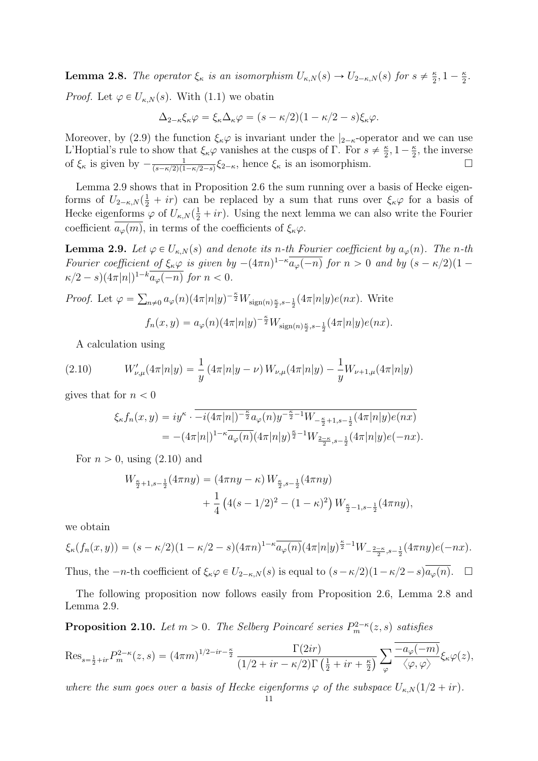**Lemma 2.8.** The operator  $\xi_{\kappa}$  is an isomorphism  $U_{\kappa,N}(s) \to U_{2-\kappa,N}(s)$  for  $s \neq \frac{\kappa}{2}$  $\frac{\kappa}{2}, 1-\frac{\kappa}{2}$  $\frac{\kappa}{2}$ .

*Proof.* Let  $\varphi \in U_{\kappa,N}(s)$ . With (1.1) we obatin

$$
\Delta_{2-\kappa}\xi_{\kappa}\varphi=\xi_{\kappa}\Delta_{\kappa}\varphi=(s-\kappa/2)(1-\kappa/2-s)\xi_{\kappa}\varphi.
$$

Moreover, by (2.9) the function  $\xi_{\kappa}\varphi$  is invariant under the  $|_{2-\kappa}$ -operator and we can use L'Hoptial's rule to show that  $\xi_{\kappa}\varphi$  vanishes at the cusps of Γ. For  $s \neq \frac{\kappa}{2}$  $\frac{\kappa}{2}, 1-\frac{\kappa}{2}$  $\frac{\kappa}{2}$ , the inverse of  $\xi_{\kappa}$  is given by  $-\frac{1}{(s-\kappa/2)(1)}$  $\frac{1}{(s-\kappa/2)(1-\kappa/2-s)}\xi_{2-\kappa}$ , hence  $\xi_{\kappa}$  is an isomorphism.

Lemma 2.9 shows that in Proposition 2.6 the sum running over a basis of Hecke eigenforms of  $U_{2-\kappa,N}(\frac{1}{2} + ir)$  can be replaced by a sum that runs over  $\xi_{\kappa}\varphi$  for a basis of Hecke eigenforms  $\varphi$  of  $U_{\kappa,N}(\frac{1}{2}+ir)$ . Using the next lemma we can also write the Fourier coefficient  $a_\varphi(m)$ , in terms of the coefficients of  $\xi_\kappa\varphi$ .

**Lemma 2.9.** Let  $\varphi \in U_{\kappa,N}(s)$  and denote its n-th Fourier coefficient by  $a_{\varphi}(n)$ . The n-th Fourier coefficient of  $\xi_{\kappa} \varphi$  is given by  $-(4\pi n)^{1-\kappa} \overline{a_{\varphi}(-n)}$  for  $n > 0$  and by  $(s - \kappa/2)(1 \kappa/2 - s$  $(4\pi|n|)^{1-k} \overline{a_{\varphi}(-n)}$  for  $n < 0$ .

*Proof.* Let 
$$
\varphi = \sum_{n \neq 0} a_{\varphi}(n) (4\pi |n|y)^{-\frac{\kappa}{2}} W_{\text{sign}(n)\frac{\kappa}{2}, s-\frac{1}{2}} (4\pi |n|y) e(nx)
$$
. Write  

$$
f_n(x, y) = a_{\varphi}(n) (4\pi |n|y)^{-\frac{\kappa}{2}} W_{\text{sign}(n)\frac{\kappa}{2}, s-\frac{1}{2}} (4\pi |n|y) e(nx).
$$

A calculation using

(2.10) 
$$
W'_{\nu,\mu}(4\pi|n|y) = \frac{1}{y} (4\pi|n|y-\nu) W_{\nu,\mu}(4\pi|n|y) - \frac{1}{y} W_{\nu+1,\mu}(4\pi|n|y)
$$

gives that for  $n < 0$ 

$$
\xi_{\kappa} f_n(x, y) = iy^{\kappa} \cdot \overline{-i(4\pi|n|)^{-\frac{\kappa}{2}} a_{\varphi}(n) y^{-\frac{\kappa}{2}-1} W_{-\frac{\kappa}{2}+1, s-\frac{1}{2}}(4\pi|n|y) e(nx)}
$$
  
= 
$$
-(4\pi|n|)^{1-\kappa} \overline{a_{\varphi}(n)} (4\pi|n|y)^{\frac{\kappa}{2}-1} W_{\frac{2-\kappa}{2}, s-\frac{1}{2}}(4\pi|n|y) e(-nx).
$$

For  $n > 0$ , using  $(2.10)$  and

$$
W_{\frac{\kappa}{2}+1,s-\frac{1}{2}}(4\pi ny) = (4\pi ny - \kappa) W_{\frac{\kappa}{2},s-\frac{1}{2}}(4\pi ny) + \frac{1}{4} (4(s-1/2)^2 - (1-\kappa)^2) W_{\frac{\kappa}{2}-1,s-\frac{1}{2}}(4\pi ny),
$$

we obtain

$$
\xi_{\kappa}(f_n(x,y)) = (s - \kappa/2)(1 - \kappa/2 - s)(4\pi n)^{1-\kappa} \overline{a_{\varphi}(n)} (4\pi |n|y)^{\frac{\kappa}{2}-1} W_{-\frac{2-\kappa}{2},s-\frac{1}{2}} (4\pi n y) e(-nx).
$$

Thus, the  $-n$ -th coefficient of  $\xi_{\kappa} \varphi \in U_{2-\kappa,N}(s)$  is equal to  $(s-\kappa/2)(1-\kappa/2-s)\overline{a_{\varphi}(n)}$ .  $\Box$ 

The following proposition now follows easily from Proposition 2.6, Lemma 2.8 and Lemma 2.9.

**Proposition 2.10.** Let  $m > 0$ . The Selberg Poincaré series  $P_m^{2-\kappa}(z, s)$  satisfies

$$
\operatorname{Res}_{s=\frac{1}{2}+ir} P_m^{2-\kappa}(z,s) = (4\pi m)^{1/2-ir-\frac{\kappa}{2}} \frac{\Gamma(2ir)}{(1/2+ir-\kappa/2)\Gamma(\frac{1}{2}+ir+\frac{\kappa}{2})} \sum_{\varphi} \frac{-a_{\varphi}(-m)}{\langle \varphi, \varphi \rangle} \xi_{\kappa} \varphi(z),
$$

where the sum goes over a basis of Hecke eigenforms  $\varphi$  of the subspace  $U_{\kappa,N}(1/2 + ir)$ .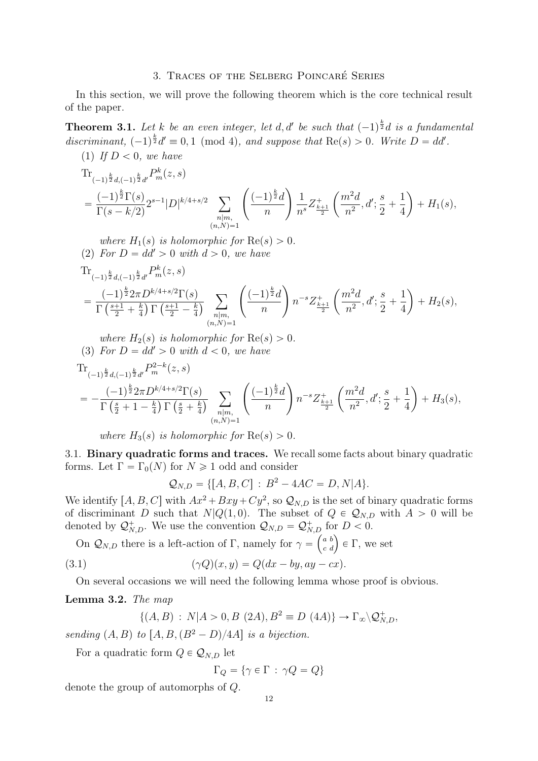### 3. Traces of the Selberg Poincare Series ´

In this section, we will prove the following theorem which is the core technical result of the paper.

**Theorem 3.1.** Let k be an even integer, let d, d' be such that  $(-1)^{\frac{k}{2}}d$  is a fundamental discriminant,  $(-1)^{\frac{k}{2}}d' \equiv 0, 1 \pmod{4}$ , and suppose that  $\text{Re}(s) > 0$ . Write  $D = dd'$ . (1) If  $D < 0$ , we have

$$
\begin{split} &\text{Tr}_{(-1)^{\frac{k}{2}}d,(-1)^{\frac{k}{2}}d'}P^k_m(z,s)\\ &= \frac{(-1)^{\frac{k}{2}}\Gamma(s)}{\Gamma(s-k/2)}2^{s-1}|D|^{k/4+s/2}\sum_{\substack{n|m,\\(n,N)=1}}\left(\frac{(-1)^{\frac{k}{2}}d}{n}\right)\frac{1}{n^s}Z^+_{\frac{k+1}{2}}\left(\frac{m^2d}{n^2},d';\frac{s}{2}+\frac{1}{4}\right)+H_1(s), \end{split}
$$

where  $H_1(s)$  is holomorphic for  $\text{Re}(s) > 0$ . (2) For  $D = dd' > 0$  with  $d > 0$ , we have  $\text{Tr}_{(-1)^{\frac{k}{2}}d,(-1)^{\frac{k}{2}}d'}P^k_m(z,s)$ 

$$
= \frac{(-1)^{\frac{k}{2}} 2\pi D^{k/4+s/2} \Gamma(s)}{\Gamma\left(\frac{s+1}{2} + \frac{k}{4}\right) \Gamma\left(\frac{s+1}{2} - \frac{k}{4}\right)} \sum_{\substack{n|m,\\(n,N)=1}} \left(\frac{(-1)^{\frac{k}{2}} d}{n}\right) n^{-s} Z_{\frac{k+1}{2}}^+\left(\frac{m^2 d}{n^2}, d'; \frac{s}{2} + \frac{1}{4}\right) + H_2(s),
$$

where  $H_2(s)$  is holomorphic for  $\text{Re}(s) > 0$ . (3) For  $D = dd' > 0$  with  $d < 0$ , we have Tr k

$$
\begin{split} &\text{Tr}_{(-1)^{\frac{k}{2}}d,(-1)^{\frac{k}{2}}d'}P_{m}^{2-k}(z,s) \\ &= -\frac{(-1)^{\frac{k}{2}}2\pi D^{k/4+s/2}\Gamma(s)}{\Gamma\left(\frac{s}{2}+1-\frac{k}{4}\right)\Gamma\left(\frac{s}{2}+\frac{k}{4}\right)}\sum_{\substack{n|m,\\(n,N)=1}}\left(\frac{(-1)^{\frac{k}{2}}d}{n}\right)n^{-s}Z_{\frac{k+1}{2}}^{+}\left(\frac{m^{2}d}{n^{2}},d';\frac{s}{2}+\frac{1}{4}\right)+H_{3}(s), \end{split}
$$

where  $H_3(s)$  is holomorphic for  $\text{Re}(s) > 0$ .

3.1. Binary quadratic forms and traces. We recall some facts about binary quadratic forms. Let  $\Gamma = \Gamma_0(N)$  for  $N \geq 1$  odd and consider

$$
Q_{N,D} = \{ [A, B, C] : B^2 - 4AC = D, N|A \}.
$$

We identify  $[A, B, C]$  with  $Ax^2 + Bxy + Cy^2$ , so  $\mathcal{Q}_{N,D}$  is the set of binary quadratic forms of discriminant D such that  $N|Q(1,0)$ . The subset of  $Q \in Q_{N,D}$  with  $A > 0$  will be denoted by  $\mathcal{Q}_{N,D}^+$ . We use the convention  $\mathcal{Q}_{N,D} = \mathcal{Q}_{N,D}^+$  for  $D < 0$ .

On  $\mathcal{Q}_{N,D}$  there is a left-action of Γ, namely for  $\gamma = \begin{pmatrix} a & b \\ c & d \end{pmatrix}$ for  $D < 0$ .<br>  $\begin{pmatrix} a & b \\ c & d \end{pmatrix} \in \Gamma$ , we set

(3.1) 
$$
(\gamma Q)(x, y) = Q(dx - by, ay - cx).
$$

On several occasions we will need the following lemma whose proof is obvious.

## Lemma 3.2. The map

$$
\{(A, B) : N | A > 0, B (2A), B^2 \equiv D (4A) \} \to \Gamma_{\infty} \backslash \mathcal{Q}_{N,D}^+,
$$

sending  $(A, B)$  to  $[A, B, (B^2 - D)/4A]$  is a bijection.

For a quadratic form  $Q \in \mathcal{Q}_{N,D}$  let

$$
\Gamma_Q=\{\gamma\in\Gamma\,:\,\gamma Q=Q\}
$$

denote the group of automorphs of Q.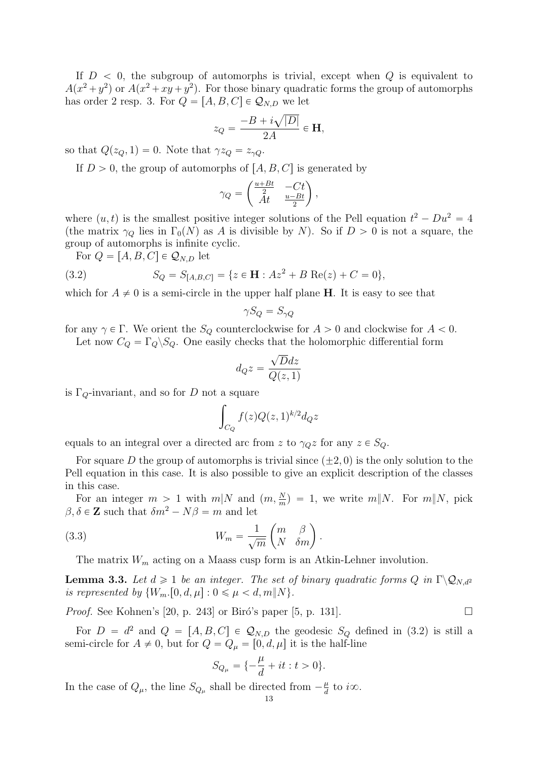If  $D < 0$ , the subgroup of automorphs is trivial, except when Q is equivalent to  $A(x^2 + y^2)$  or  $A(x^2 + xy + y^2)$ . For those binary quadratic forms the group of automorphs has order 2 resp. 3. For  $Q = [A, B, C] \in Q_{N,D}$  we let

$$
z_Q = \frac{-B + i\sqrt{|D|}}{2A} \in \mathbf{H},
$$

so that  $Q(z_Q, 1) = 0$ . Note that  $\gamma z_Q = z_{\gamma Q}$ .

If  $D > 0$ , the group of automorphs of  $[A, B, C]$  is generated by<br> $\left(\frac{u+Bt}{c}-Ct\right)$ 

$$
\gamma_Q = \begin{pmatrix} \frac{u+Bt}{2} & -Ct \\ At & \frac{u-Bt}{2} \end{pmatrix},
$$

where  $(u, t)$  is the smallest positive integer solutions of the Pell equation  $t^2 - Du^2 = 4$ (the matrix  $\gamma_Q$  lies in  $\Gamma_0(N)$  as A is divisible by N). So if  $D > 0$  is not a square, the group of automorphs is infinite cyclic.

For  $Q = [A, B, C] \in \mathcal{Q}_{N,D}$  let

(3.2) 
$$
S_Q = S_{[A,B,C]} = \{z \in \mathbf{H} : Az^2 + B \operatorname{Re}(z) + C = 0\},\
$$

which for  $A \neq 0$  is a semi-circle in the upper half plane H. It is easy to see that

$$
\gamma S_Q = S_{\gamma Q}
$$

for any  $\gamma \in \Gamma$ . We orient the  $S_Q$  counterclockwise for  $A > 0$  and clockwise for  $A < 0$ . Let now  $C_Q = \Gamma_Q \backslash S_Q$ . One easily checks that the holomorphic differential form

$$
d_Q z = \frac{\sqrt{D}dz}{Q(z,1)}
$$

is  $\Gamma_Q$ -invariant, and so for D not a square

$$
\int_{C_Q} f(z)Q(z,1)^{k/2}d_Qz
$$

equals to an integral over a directed arc from z to  $\gamma_{Q}z$  for any  $z \in S_{Q}$ .

For square D the group of automorphs is trivial since  $(+2, 0)$  is the only solution to the Pell equation in this case. It is also possible to give an explicit description of the classes in this case.

For an integer  $m > 1$  with  $m|N$  and  $(m, \frac{N}{m}) = 1$ , we write  $m||N$ . For  $m||N$ , pick  $\beta, \delta \in \mathbb{Z}$  such that  $\delta m^2 - N\beta = m$  and let ˆ

(3.3) 
$$
W_m = \frac{1}{\sqrt{m}} \begin{pmatrix} m & \beta \\ N & \delta m \end{pmatrix}.
$$

The matrix  $W_m$  acting on a Maass cusp form is an Atkin-Lehner involution.

**Lemma 3.3.** Let  $d \geq 1$  be an integer. The set of binary quadratic forms Q in  $\Gamma \backslash \mathcal{Q}_{N,d}$ is represented by  $\{W_m, [0, d, \mu] : 0 \leq \mu < d, m\|N\}.$ 

*Proof.* See Kohnen's [20, p. 243] or Biró's paper [5, p. 131].

For  $D = d^2$  and  $Q = [A, B, C] \in \mathcal{Q}_{N,D}$  the geodesic  $S_Q$  defined in (3.2) is still a semi-circle for  $A \neq 0$ , but for  $Q = Q_{\mu} = [0, d, \mu]$  it is the half-line

$$
S_{Q_\mu}=\{-\frac{\mu}{d}+it:t>0\}.
$$

In the case of  $Q_{\mu}$ , the line  $S_{Q_{\mu}}$  shall be directed from  $-\frac{\mu}{d}$  $\frac{\mu}{d}$  to i $\infty$ .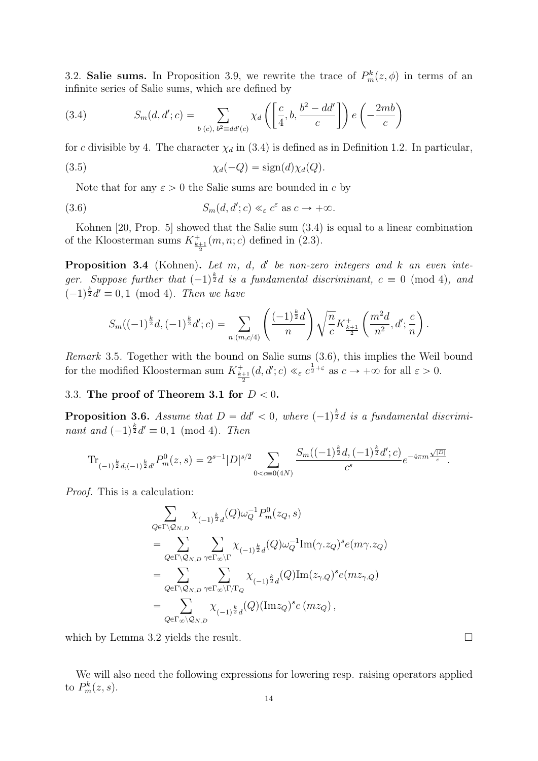3.2. Salie sums. In Proposition 3.9, we rewrite the trace of  $P_m^k(z, \phi)$  in terms of an infinite series of Salie sums, which are defined by ˙ ˙

(3.4) 
$$
S_m(d, d'; c) = \sum_{b(c), b^2 \equiv dd'(c)} \chi_d\left(\left[\frac{c}{4}, b, \frac{b^2 - dd'}{c}\right]\right) e\left(-\frac{2mb}{c}\right)
$$

for c divisible by 4. The character  $\chi_d$  in (3.4) is defined as in Definition 1.2. In particular,

(3.5) 
$$
\chi_d(-Q) = \text{sign}(d)\chi_d(Q).
$$

Note that for any  $\varepsilon > 0$  the Salie sums are bounded in c by

(3.6) 
$$
S_m(d, d'; c) \ll_{\varepsilon} c^{\varepsilon} \text{ as } c \to +\infty.
$$

Kohnen [20, Prop. 5] showed that the Salie sum (3.4) is equal to a linear combination of the Kloosterman sums  $K^+_{\frac{k+1}{2}}(m, n; c)$  defined in (2.3).

**Proposition 3.4** (Kohnen). Let  $m$ ,  $d$ ,  $d'$  be non-zero integers and  $k$  an even integer. Suppose further that  $(-1)^{\frac{k}{2}}d$  is a fundamental discriminant,  $c \equiv 0 \pmod{4}$ , and  $(-1)^{\frac{k}{2}}d' \equiv 0, 1 \pmod{4}$ . Then we have ˜

$$
S_m((-1)^{\frac{k}{2}}d, (-1)^{\frac{k}{2}}d'; c) = \sum_{n|(m,c/4)} \left(\frac{(-1)^{\frac{k}{2}}d}{n}\right) \sqrt{\frac{n}{c}} K^+_{\frac{k+1}{2}}\left(\frac{m^2d}{n^2}, d'; \frac{c}{n}\right).
$$

Remark 3.5. Together with the bound on Salie sums (3.6), this implies the Weil bound for the modified Kloosterman sum  $K_{\frac{k+1}{2}}^+(d, d'; c) \ll_{\varepsilon} c^{\frac{1}{2}+\varepsilon}$  as  $c \to +\infty$  for all  $\varepsilon > 0$ .

### 3.3. The proof of Theorem 3.1 for  $D < 0$ .

**Proposition 3.6.** Assume that  $D = dd' < 0$ , where  $(-1)^{\frac{k}{2}}d$  is a fundamental discriminant and  $(-1)^{\frac{k}{2}}d' \equiv 0, 1 \pmod{4}$ . Then

$$
\mathrm{Tr}_{(-1)^{\frac{k}{2}}d,(-1)^{\frac{k}{2}}d'}P_m^0(z,s)=2^{s-1}|D|^{s/2}\sum_{0
$$

Proof. This is a calculation:

$$
\begin{split} &\sum_{Q\in\Gamma\backslash\mathcal{Q}_{N,D}}\chi_{(-1)^{\frac{k}{2}}d}(Q)\omega_{Q}^{-1}P_{m}^{0}(z_{Q},s)\\ &=\sum_{Q\in\Gamma\backslash\mathcal{Q}_{N,D}}\sum_{\gamma\in\Gamma_{\infty}\backslash\Gamma}\chi_{(-1)^{\frac{k}{2}}d}(Q)\omega_{Q}^{-1}\mathrm{Im}(\gamma.z_{Q})^{s}e(m\gamma.z_{Q})\\ &=\sum_{Q\in\Gamma\backslash\mathcal{Q}_{N,D}}\sum_{\gamma\in\Gamma_{\infty}\backslash\Gamma/\Gamma_{Q}}\chi_{(-1)^{\frac{k}{2}}d}(Q)\mathrm{Im}(z_{\gamma.Q})^{s}e(mz_{\gamma.Q})\\ &=\sum_{Q\in\Gamma_{\infty}\backslash\mathcal{Q}_{N,D}}\chi_{(-1)^{\frac{k}{2}}d}(Q)\big(\mathrm{Im}z_{Q}\big)^{s}e\left(mz_{Q}\right), \end{split}
$$

which by Lemma 3.2 yields the result.  $\square$ 

We will also need the following expressions for lowering resp. raising operators applied to  $P_m^k(z,s)$ .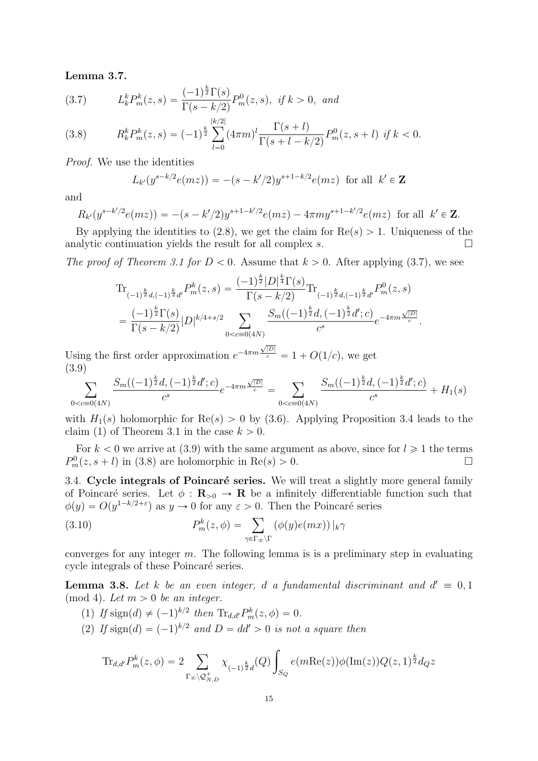Lemma 3.7.

(3.7) 
$$
L_k^k P_m^k(z,s) = \frac{(-1)^{\frac{k}{2}} \Gamma(s)}{\Gamma(s - k/2)} P_m^0(z,s), \text{ if } k > 0, \text{ and}
$$

(3.8) 
$$
R_k^k P_m^k(z,s) = (-1)^{\frac{k}{2}} \sum_{l=0}^{|k/2|} (4\pi m)^l \frac{\Gamma(s+l)}{\Gamma(s+l-k/2)} P_m^0(z,s+l) \text{ if } k < 0.
$$

Proof. We use the identities

$$
L_{k'}(y^{s-k/2}e(mz)) = -(s-k'/2)y^{s+1-k/2}e(mz) \text{ for all } k' \in \mathbf{Z}
$$

and

$$
R_{k'}(y^{s-k'/2}e(mz)) = -(s-k'/2)y^{s+1-k'/2}e(mz) - 4\pi my^{s+1-k'/2}e(mz) \text{ for all } k' \in \mathbb{Z}.
$$

By applying the identities to  $(2.8)$ , we get the claim for  $\text{Re}(s) > 1$ . Uniqueness of the analytic continuation yields the result for all complex s.  $\Box$ 

The proof of Theorem 3.1 for  $D < 0$ . Assume that  $k > 0$ . After applying (3.7), we see

$$
\begin{split} &\text{Tr}_{(-1)^{\frac{k}{2}}d,(-1)^{\frac{k}{2}}d'}P^k_m(z,s) = \frac{(-1)^{\frac{k}{2}}|D|^{\frac{k}{4}}\Gamma(s)}{\Gamma(s-k/2)}\text{Tr}_{(-1)^{\frac{k}{2}}d,(-1)^{\frac{k}{2}}d'}P^0_m(z,s) \\ &= \frac{(-1)^{\frac{k}{2}}\Gamma(s)}{\Gamma(s-k/2)}|D|^{k/4+s/2}\sum_{0 < c \equiv 0(4N)}\frac{S_m((-1)^{\frac{k}{2}}d,(-1)^{\frac{k}{2}}d';c)}{c^s}e^{-4\pi m\frac{\sqrt{|D|}}{c}}. \end{split}
$$

Using the first order approximation  $e^{-4\pi m}$  $\frac{\sqrt{|D|}}{c} = 1 + O(1/c)$ , we get (3.9)

$$
\sum_{0 < c \equiv 0(4N)} \frac{S_m((-1)^{\frac{k}{2}}d, (-1)^{\frac{k}{2}}d'; c)}{c^s} e^{-4\pi m \frac{\sqrt{|D|}}{c}} = \sum_{0 < c \equiv 0(4N)} \frac{S_m((-1)^{\frac{k}{2}}d, (-1)^{\frac{k}{2}}d'; c)}{c^s} + H_1(s)
$$

with  $H_1(s)$  holomorphic for  $\text{Re}(s) > 0$  by (3.6). Applying Proposition 3.4 leads to the claim (1) of Theorem 3.1 in the case  $k > 0$ .

For  $k < 0$  we arrive at (3.9) with the same argument as above, since for  $l \ge 1$  the terms  $P_m^0(z, s + l)$  in (3.8) are holomorphic in Re $(s) > 0$ .

3.4. Cycle integrals of Poincaré series. We will treat a slightly more general family of Poincaré series. Let  $\phi : \mathbf{R}_{>0} \to \mathbf{R}$  be a infinitely differentiable function such that

$$
\phi(y) = O(y^{1-k/2+\varepsilon}) \text{ as } y \to 0 \text{ for any } \varepsilon > 0. \text{ Then the Poincaré series}
$$
  
(3.10) 
$$
P_m^k(z, \phi) = \sum_{\gamma \in \Gamma_\infty \backslash \Gamma} (\phi(y)e(mx))|_{k} \gamma
$$

converges for any integer  $m$ . The following lemma is is a preliminary step in evaluating cycle integrals of these Poincaré series.

**Lemma 3.8.** Let k be an even integer, d a fundamental discriminant and  $d' \equiv 0, 1$  $pmod 4$ . Let  $m > 0$  be an integer.

(1) If  $\text{sign}(d) \neq (-1)^{k/2}$  then  $\text{Tr}_{d,d'} P_m^k(z, \phi) = 0$ . (2) If  $sign(d) = (-1)^{k/2}$  and  $D = dd' > 0$  is not a square then

$$
\text{Tr}_{d,d'} P_m^k(z,\phi) = 2 \sum_{\Gamma_{\infty} \backslash \mathcal{Q}_{N,D}^+} \chi_{(-1)^{\frac{k}{2}} d}(Q) \int_{S_Q} e(m \text{Re}(z)) \phi(\text{Im}(z)) Q(z,1)^{\frac{k}{2}} d_Q z
$$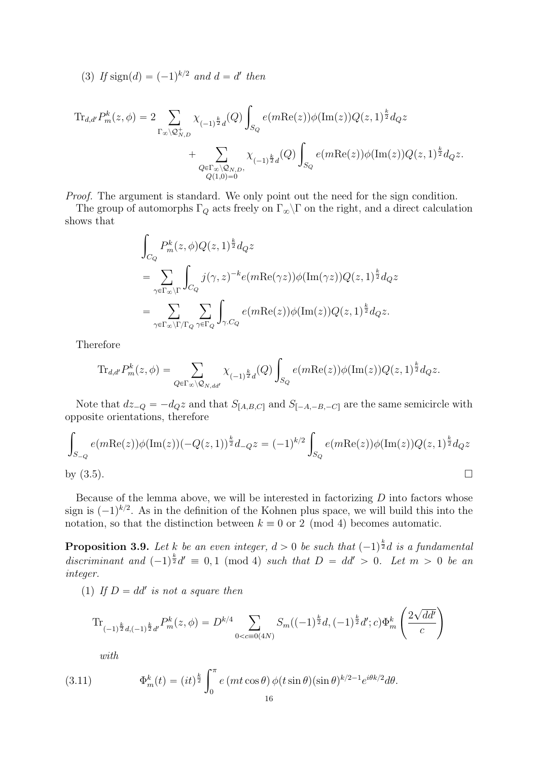(3) If sign(d) = 
$$
(-1)^{k/2}
$$
 and d = d' then

$$
\mathrm{Tr}_{d,d'} P_m^k(z,\phi) = 2 \sum_{\Gamma_{\infty} \backslash \mathcal{Q}_{N,D}^+} \chi_{(-1)^{\frac{k}{2}}d}(Q) \int_{S_Q} e(m \mathrm{Re}(z)) \phi(\mathrm{Im}(z)) Q(z,1)^{\frac{k}{2}} d_Q z + \sum_{\substack{Q \in \Gamma_{\infty} \backslash \mathcal{Q}_{N,D}, \\ Q(1,0)=0}} \chi_{(-1)^{\frac{k}{2}}d}(Q) \int_{S_Q} e(m \mathrm{Re}(z)) \phi(\mathrm{Im}(z)) Q(z,1)^{\frac{k}{2}} d_Q z.
$$

Proof. The argument is standard. We only point out the need for the sign condition.

The group of automorphs  $\Gamma_Q$  acts freely on  $\Gamma_\infty\backslash\Gamma$  on the right, and a direct calculation shows that

$$
\int_{C_Q} P_m^k(z, \phi) Q(z, 1)^{\frac{k}{2}} d_Q z
$$
\n
$$
= \sum_{\gamma \in \Gamma_{\infty} \backslash \Gamma} \int_{C_Q} j(\gamma, z)^{-k} e(m \text{Re}(\gamma z)) \phi(\text{Im}(\gamma z)) Q(z, 1)^{\frac{k}{2}} d_Q z
$$
\n
$$
= \sum_{\gamma \in \Gamma_{\infty} \backslash \Gamma / \Gamma_Q} \sum_{\gamma \in \Gamma_Q} \int_{\gamma. C_Q} e(m \text{Re}(z)) \phi(\text{Im}(z)) Q(z, 1)^{\frac{k}{2}} d_Q z.
$$

Therefore

$$
\mathrm{Tr}_{d,d'}P^k_m(z,\phi)=\sum_{Q\in \Gamma_\infty\backslash \mathcal{Q}_{N,dd'}}\chi_{(-1)^{\frac{k}{2}}d}(Q)\int_{S_Q}e(m\mathrm{Re}(z))\phi(\mathrm{Im}(z))Q(z,1)^{\frac{k}{2}}d_Qz.
$$

Note that  $dz_{-Q} = -d_Qz$  and that  $S_{[A,B,C]}$  and  $S_{[-A,-B,-C]}$  are the same semicircle with opposite orientations, therefore ż

$$
\int_{S_{-Q}} e(m \text{Re}(z)) \phi(\text{Im}(z)) (-Q(z, 1))^{\frac{k}{2}} d_{-Q} z = (-1)^{k/2} \int_{S_Q} e(m \text{Re}(z)) \phi(\text{Im}(z)) Q(z, 1)^{\frac{k}{2}} d_{Q} z
$$
  
by (3.5).

Because of the lemma above, we will be interested in factorizing  $D$  into factors whose sign is  $(-1)^{k/2}$ . As in the definition of the Kohnen plus space, we will build this into the notation, so that the distinction between  $k \equiv 0$  or 2 (mod 4) becomes automatic.

**Proposition 3.9.** Let k be an even integer,  $d > 0$  be such that  $(-1)^{\frac{k}{2}}d$  is a fundamental discriminant and  $(-1)^{\frac{k}{2}}d' \equiv 0, 1 \pmod{4}$  such that  $D = dd' > 0$ . Let  $m > 0$  be an integer.

(1) If  $D = dd'$  is not a square then

$$
\text{Tr}_{(-1)^{\frac{k}{2}}d,(-1)^{\frac{k}{2}}d'}P^k_m(z,\phi) = D^{k/4} \sum_{0 < c \equiv 0 \text{(4N)}} S_m((-1)^{\frac{k}{2}}d,(-1)^{\frac{k}{2}}d';c) \Phi^k_m\left(\frac{2\sqrt{dd'}}{c}\right)
$$

with

(3.11) 
$$
\Phi_m^k(t) = (it)^{\frac{k}{2}} \int_0^{\pi} e \left(mt \cos \theta \right) \phi(t \sin \theta) (\sin \theta)^{k/2 - 1} e^{i\theta k/2} d\theta.
$$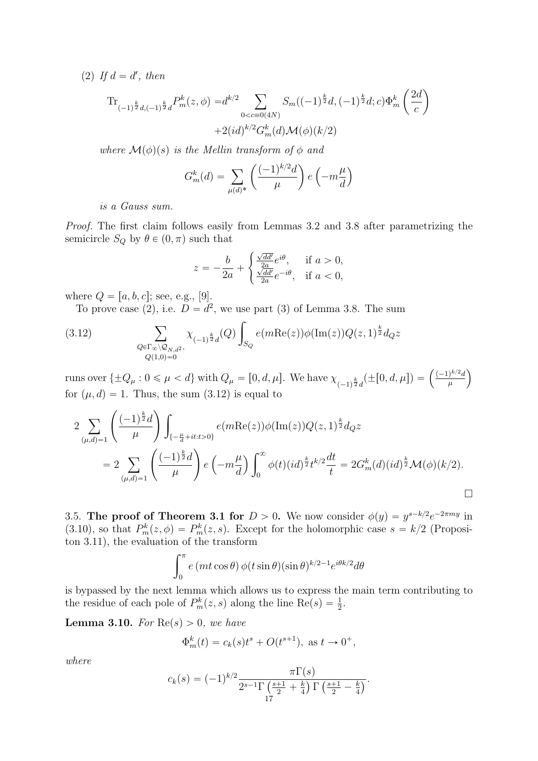(2) If  $d = d'$ , then

$$
\begin{split} \operatorname{Tr}_{(-1)^{\frac{k}{2}d,(-1)^{\frac{k}{2}}d}P^k_m(z,\phi)=&d^{k/2}\sum_{0
$$

˙

¯

where  $\mathcal{M}(\phi)(s)$  is the Mellin transform of  $\phi$  and  $\frac{1}{\sqrt{2}}$ 

$$
G_m^k(d) = \sum_{\mu(d)^*} \left( \frac{(-1)^{k/2} d}{\mu} \right) e\left(-m \frac{\mu}{d}\right)
$$

is a Gauss sum.

Proof. The first claim follows easily from Lemmas 3.2 and 3.8 after parametrizing the semicircle  $S_Q$  by  $\theta \in (0, \pi)$  such that

$$
z = -\frac{b}{2a} + \begin{cases} \frac{\sqrt{dd'}}{2a} e^{i\theta}, & \text{if } a > 0, \\ \frac{\sqrt{dd'}}{2a} e^{-i\theta}, & \text{if } a < 0, \end{cases}
$$

where  $Q = [a, b, c]$ ; see, e.g., [9].

To prove case (2), i.e.  $D = d^2$ , we use part (3) of Lemma 3.8. The sum į.

(3.12) 
$$
\sum_{\substack{Q \in \Gamma_{\infty} \backslash \mathcal{Q}_{N,d^2}, \\ Q(1,0)=0}} \chi_{(-1)^{\frac{k}{2}}d}(Q) \int_{S_Q} e(m \text{Re}(z)) \phi(\text{Im}(z)) Q(z,1)^{\frac{k}{2}} d_Q z
$$

runs over  $\{\pm Q_{\mu} : 0 \le \mu < d\}$  with  $Q_{\mu} = [0, d, \mu]$ . We have  $\chi_{(-1)^{\frac{k}{2}}d}(\pm [0, d, \mu]) = \left(\frac{(-1)^{k/2}d}{\mu}\right)$  $\mu$ for  $(\mu, d) = 1$ . Thus, the sum  $(3.12)$  is equal to ˜

$$
2 \sum_{(\mu,d)=1} \left( \frac{(-1)^{\frac{k}{2}}d}{\mu} \right) \int_{\{-\frac{\mu}{d}+it:t>0\}} e(m \text{Re}(z)) \phi(\text{Im}(z)) Q(z,1)^{\frac{k}{2}} d_{Q} z
$$
  
= 
$$
2 \sum_{(\mu,d)=1} \left( \frac{(-1)^{\frac{k}{2}}d}{\mu} \right) e\left(-m \frac{\mu}{d}\right) \int_{0}^{\infty} \phi(t) (id)^{\frac{k}{2}} t^{k/2} \frac{dt}{t} = 2G_{m}^{k}(d) (id)^{\frac{k}{2}} \mathcal{M}(\phi)(k/2).
$$

3.5. The proof of Theorem 3.1 for  $D > 0$ . We now consider  $\phi(y) = y^{s-k/2}e^{-2\pi my}$  in (3.10), so that  $P_m^k(z, \phi) = P_m^k(z, s)$ . Except for the holomorphic case  $s = k/2$  (Propositon 3.11), the evaluation of the transform

$$
\int_0^{\pi} e (mt \cos \theta) \phi(t \sin \theta) (\sin \theta)^{k/2 - 1} e^{i\theta k/2} d\theta
$$

is bypassed by the next lemma which allows us to express the main term contributing to the residue of each pole of  $P_m^k(z, s)$  along the line  $\text{Re}(s) = \frac{1}{2}$ .

**Lemma 3.10.** For  $\text{Re}(s) > 0$ , we have

$$
\Phi_m^k(t) = c_k(s)t^s + O(t^{s+1}), \text{ as } t \to 0^+,
$$

where

$$
c_k(s) = (-1)^{k/2} \frac{\pi \Gamma(s)}{2^{s-1} \Gamma\left(\frac{s+1}{2} + \frac{k}{4}\right) \Gamma\left(\frac{s+1}{2} - \frac{k}{4}\right)}.
$$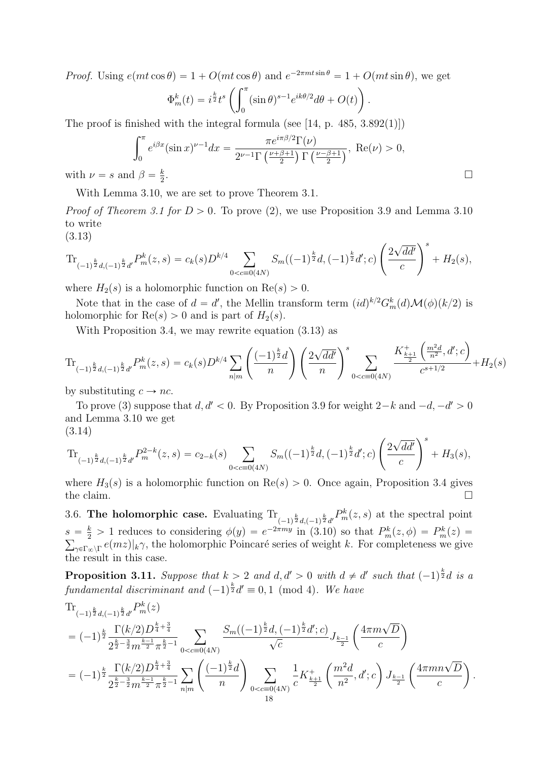Proof. Using  $e(mt \cos \theta) = 1 + O(mt \cos \theta)$  and  $e^{-2\pi mt \sin \theta} = 1 + O(mt \sin \theta)$ , we get

$$
\Phi_m^k(t) = i^{\frac{k}{2}} t^s \left( \int_0^{\pi} (\sin \theta)^{s-1} e^{ik\theta/2} d\theta + O(t) \right)
$$

The proof is finished with the integral formula (see  $[14, p. 485, 3.892(1)]$ )

$$
\int_0^\pi e^{i\beta x} (\sin x)^{\nu-1} dx = \frac{\pi e^{i\pi \beta/2} \Gamma(\nu)}{2^{\nu-1} \Gamma\left(\frac{\nu+\beta+1}{2}\right) \Gamma\left(\frac{\nu-\beta+1}{2}\right)}, \text{ Re}(\nu) > 0,
$$
  
and  $\beta = \frac{k}{2}$ .

.

with  $\nu = s$  and  $\beta = \frac{k}{2}$ 2

With Lemma 3.10, we are set to prove Theorem 3.1.

*Proof of Theorem 3.1 for D > 0.* To prove (2), we use Proposition 3.9 and Lemma 3.10 to write ˜

(3.13)

(3.13)  
\n
$$
\operatorname{Tr}_{(-1)^{\frac{k}{2}}d,(-1)^{\frac{k}{2}}d'}P_m^k(z,s) = c_k(s)D^{k/4} \sum_{0 < c \equiv 0(4N)} S_m((-1)^{\frac{k}{2}}d,(-1)^{\frac{k}{2}}d';c) \left(\frac{2\sqrt{dd'}}{c}\right)^s + H_2(s),
$$

where  $H_2(s)$  is a holomorphic function on  $\text{Re}(s) > 0$ .

Note that in the case of  $d = d'$ , the Mellin transform term  $(id)^{k/2} G_m^k(d) \mathcal{M}(\phi)(k/2)$  is holomorphic for  $\text{Re}(s) > 0$  and is part of  $H_2(s)$ .

With Proposition 3.4, we may rewrite equation (3.13) as

$$
\text{Tr}_{(-1)^{\frac{k}{2}}d,(-1)^{\frac{k}{2}}d'}P_m^k(z,s) = c_k(s)D^{k/4}\sum_{n|m}\left(\frac{(-1)^{\frac{k}{2}}d}{n}\right)\left(\frac{2\sqrt{dd'}}{n}\right)^s \sum_{0
$$

by substituting  $c \to n \overline{c}$ .

To prove (3) suppose that  $d, d' < 0$ . By Proposition 3.9 for weight  $2-k$  and  $-d, -d' > 0$ and Lemma 3.10 we get (3.14)  $\mathbb{R}^2$ 

$$
(3.14)
$$
  
\n
$$
\operatorname{Tr}_{(-1)^{\frac{k}{2}}d, (-1)^{\frac{k}{2}}d'} P_m^{2-k}(z, s) = c_{2-k}(s) \sum_{0 < c \equiv 0(4N)} S_m((-1)^{\frac{k}{2}}d, (-1)^{\frac{k}{2}}d'; c) \left(\frac{2\sqrt{dd'}}{c}\right)^s + H_3(s),
$$

where  $H_3(s)$  is a holomorphic function on  $\text{Re}(s) > 0$ . Once again, Proposition 3.4 gives the claim.

3.6. The holomorphic case. Evaluating  $\text{Tr}_{(-1)^{\frac{k}{2}}d,(-1)^{\frac{k}{2}}d'} P_m^k(z,s)$  at the spectral point  $s = \frac{k}{2} > 1$  reduces to considering  $\phi(y) = e^{-2\pi my}$  in (3.10) so that  $P_m^k(z, \phi) = P_m^k(z)$  $_{\gamma \in \Gamma_\infty \backslash \Gamma} e(mz)|_k \gamma$ , the holomorphic Poincaré series of weight k. For completeness we give the result in this case.

**Proposition 3.11.** Suppose that  $k > 2$  and  $d, d' > 0$  with  $d \neq d'$  such that  $(-1)^{\frac{k}{2}}d$  is a fundamental discriminant and  $(-1)^{\frac{k}{2}}d' \equiv 0, 1 \pmod{4}$ . We have

$$
\begin{split} &\text{Tr}_{(-1)^{\frac{k}{2}}d,(-1)^{\frac{k}{2}}d'}P_{m}^{k}(z)\\ &= (-1)^{\frac{k}{2}}\frac{\Gamma(k/2)D^{\frac{k}{4}+\frac{3}{4}}}{2^{\frac{k}{2}-\frac{3}{2}}m^{\frac{k-1}{2}}\pi^{\frac{k}{2}-1}}\sum_{0
$$

¯

 $\mathbf{r}$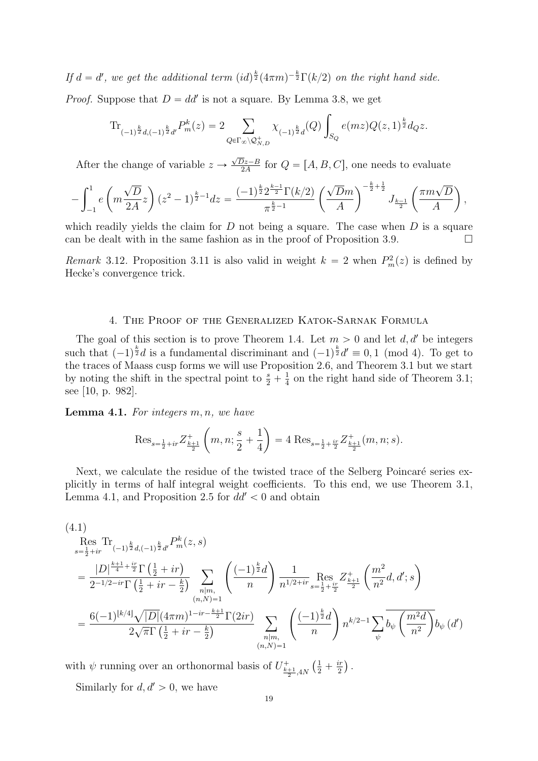If  $d = d'$ , we get the additional term  $(id)^{\frac{k}{2}}(4\pi m)^{-\frac{k}{2}}\Gamma(k/2)$  on the right hand side. *Proof.* Suppose that  $D = dd'$  is not a square. By Lemma 3.8, we get

$$
\mathrm{Tr}_{(-1)^{\frac{k}{2}}d,(-1)^{\frac{k}{2}}d'}P_m^k(z) = 2 \sum_{Q \in \Gamma_{\infty} \backslash \mathcal{Q}_{N,D}^+} \chi_{(-1)^{\frac{k}{2}}d}(Q) \int_{S_Q} e(mz)Q(z,1)^{\frac{k}{2}}d_Qz.
$$

After the change of variable  $z \rightarrow \frac{\sqrt{D}z - B}{2A}$  $\frac{Dz-B}{2A}$  for  $Q = [A, B, C]$ , one needs to evaluate

$$
-\int_{-1}^1 e\left(m\frac{\sqrt{D}}{2A}z\right)(z^2-1)^{\frac{k}{2}-1}dz=\frac{(-1)^{\frac{k}{2}}2^{\frac{k-1}{2}}\Gamma(k/2)}{\pi^{\frac{k}{2}-1}}\left(\frac{\sqrt{D}m}{A}\right)^{-\frac{k}{2}+\frac{1}{2}}J_{\frac{k-1}{2}}\left(\frac{\pi m\sqrt{D}}{A}\right),
$$

which readily yields the claim for  $D$  not being a square. The case when  $D$  is a square can be dealt with in the same fashion as in the proof of Proposition 3.9.

Remark 3.12. Proposition 3.11 is also valid in weight  $k = 2$  when  $P_m^2(z)$  is defined by Hecke's convergence trick.

# 4. The Proof of the Generalized Katok-Sarnak Formula

The goal of this section is to prove Theorem 1.4. Let  $m > 0$  and let  $d, d'$  be integers such that  $(-1)^{\frac{k}{2}}d$  is a fundamental discriminant and  $(-1)^{\frac{k}{2}}d' \equiv 0, 1 \pmod{4}$ . To get to the traces of Maass cusp forms we will use Proposition 2.6, and Theorem 3.1 but we start by noting the shift in the spectral point to  $\frac{s}{2} + \frac{1}{4}$  $\frac{1}{4}$  on the right hand side of Theorem 3.1; see [10, p. 982].

**Lemma 4.1.** For integers  $m, n$ , we have ˆ

$$
\text{Res}_{s=\frac{1}{2}+ir} Z^+_{\frac{k+1}{2}}\left(m, n; \frac{s}{2}+\frac{1}{4}\right) = 4 \text{ Res}_{s=\frac{1}{2}+\frac{ir}{2}} Z^+_{\frac{k+1}{2}}(m, n; s).
$$

˙

Next, we calculate the residue of the twisted trace of the Selberg Poincaré series explicitly in terms of half integral weight coefficients. To this end, we use Theorem 3.1, Lemma 4.1, and Proposition 2.5 for  $dd' < 0$  and obtain

$$
(4.1)
$$
  
\n
$$
\operatorname{Res}_{s=\frac{1}{2}+ir} \operatorname{Tr}_{(-1)^{\frac{k}{2}}d,(-1)^{\frac{k}{2}}d'} P_{m}^{k}(z,s)
$$
  
\n
$$
= \frac{|D|^{\frac{k+1}{4}+\frac{ir}{2}} \Gamma(\frac{1}{2}+ir)}{2^{-1/2-ir} \Gamma(\frac{1}{2}+ir-\frac{k}{2})} \sum_{\substack{n|m,\\(n,N)=1}} \left(\frac{(-1)^{\frac{k}{2}}d}{n}\right) \frac{1}{n^{1/2+ir}} \operatorname{Res}_{s=\frac{1}{2}+\frac{ir}{2}} Z_{\frac{k+1}{2}}^{+} \left(\frac{m^{2}}{n^{2}}d, d';s\right)
$$
  
\n
$$
= \frac{6(-1)^{\lfloor k/4 \rfloor} \sqrt{|D|} (4\pi m)^{1-ir-\frac{k+1}{2}} \Gamma(2ir)}{2\sqrt{\pi} \Gamma(\frac{1}{2}+ir-\frac{k}{2})} \sum_{\substack{n|m,\\(n,N)=1}} \left(\frac{(-1)^{\frac{k}{2}}d}{n}\right) n^{k/2-1} \sum_{\psi} \overline{b_{\psi}} \left(\frac{m^{2}d}{n^{2}}\right) b_{\psi}(d')
$$

with  $\psi$  running over an orthonormal basis of  $U^+_{\frac{k+1}{2},4N}$  $rac{1}{2} + \frac{ir}{2}$  $\frac{ir}{2}$ ).

Similarly for  $d, d' > 0$ , we have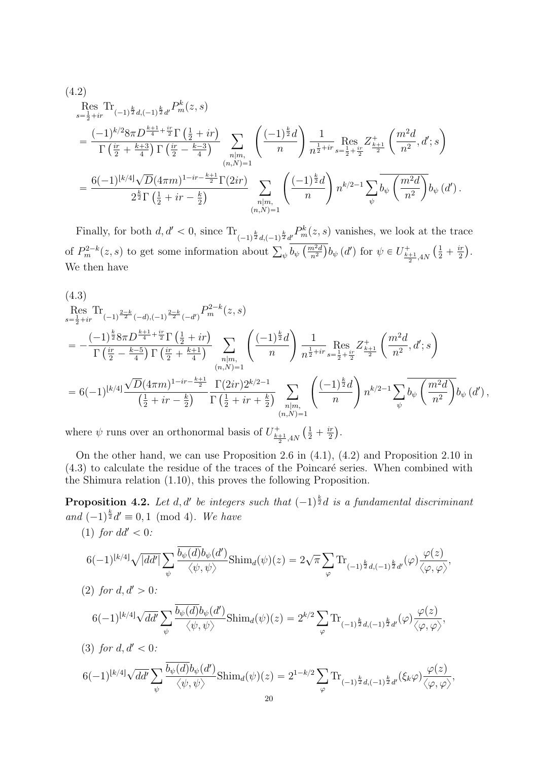$$
(4.2)
$$
\n
$$
\operatorname{Res}_{s=\frac{1}{2}+ir} \operatorname{Tr}_{(-1)^{\frac{k}{2}}d,(-1)^{\frac{k}{2}}d'} P_{m}^{k}(z,s)
$$
\n
$$
= \frac{(-1)^{k/2} 8\pi D^{\frac{k+1}{4}+\frac{ir}{2}} \Gamma(\frac{1}{2}+ir)}{\Gamma(\frac{ir}{2}+\frac{k+3}{4}) \Gamma(\frac{ir}{2}-\frac{k-3}{4})} \sum_{n|m, \atop (n,N)=1} \left( \frac{(-1)^{\frac{k}{2}}d}{n} \right) \frac{1}{n^{\frac{1}{2}+ir}} \operatorname{Res}_{s=\frac{1}{2}+\frac{ir}{2}} Z_{\frac{k+1}{2}}^{+} \left( \frac{m^{2}d}{n^{2}}, d';s \right)
$$
\n
$$
= \frac{6(-1)^{\lfloor k/4 \rfloor} \sqrt{D} (4\pi m)^{1-ir-\frac{k+1}{2}} \Gamma(2ir)}{2^{\frac{k}{2}} \Gamma(\frac{1}{2}+ir-\frac{k}{2})} \sum_{\substack{n|m, \atop (n,N)=1}} \left( \frac{(-1)^{\frac{k}{2}}d}{n} \right) n^{k/2-1} \sum_{\psi} \overline{b_{\psi}} \left( \frac{m^{2}d}{n^{2}} \right) b_{\psi} (d').
$$

Finally, for both  $d, d' < 0$ , since  $\text{Tr}_{(-1)^{\frac{k}{2}}d, (-1)^{\frac{k}{2}}d'} P_m^k(z, s)$  vanishes, we look at the trace of  $P_m^{2-k}(z,s)$  to get some information about  $\sum_{\psi} \frac{(-1)^2 d_{\psi}}{b_{\psi}} \frac{m_{\psi}}{\left(\frac{m^2 d_{\psi}}{n^2}\right)^2}$  $\frac{n^2d}{n^2}$ ) $b_{\psi}$  (d') for  $\psi \in U^+_{\frac{k+1}{2}, 4N}$  $rac{1}{2} + \frac{ir}{2}$  $\frac{\imath r}{2}\big).$ We then have

$$
(4.3)
$$
  
\n
$$
\operatorname{Res}_{s=\frac{1}{2}+ir} \operatorname{Tr}_{(-1)^{\frac{2-k}{2}}(-d),(-1)^{\frac{2-k}{2}}(-d')} P_{m}^{2-k}(z,s)
$$
  
\n
$$
= -\frac{(-1)^{\frac{k}{2}} 8\pi D^{\frac{k+1}{4}+\frac{ir}{2}} \Gamma(\frac{1}{2}+ir)}{\Gamma(\frac{ir}{2}-\frac{k-5}{4}) \Gamma(\frac{ir}{2}+\frac{k+1}{4})} \sum_{\substack{n|m,\\(n,N)=1}} \left(\frac{(-1)^{\frac{k}{2}}d}{n}\right) \frac{1}{n^{\frac{1}{2}+ir}} \operatorname{Res}_{s=\frac{1}{2}+\frac{ir}{2}} Z_{\frac{k+1}{2}}^{+} \left(\frac{m^{2}d}{n^{2}}, d';s\right)
$$
  
\n
$$
= 6(-1)^{\lfloor k/4 \rfloor} \frac{\sqrt{D}(4\pi m)^{1-ir-\frac{k+1}{2}}}{(\frac{1}{2}+ir-\frac{k}{2})} \frac{\Gamma(2ir)2^{k/2-1}}{\Gamma(\frac{1}{2}+ir+\frac{k}{2})} \sum_{\substack{n|m,\\(n,N)=1}} \left(\frac{(-1)^{\frac{k}{2}}d}{n}\right) n^{k/2-1} \sum_{\psi} \overline{b_{\psi}} \left(\frac{m^{2}d}{n^{2}}\right) b_{\psi}(d'),
$$

where  $\psi$  runs over an orthonormal basis of  $U^{\dagger}_{\frac{k+1}{2},4N}$  $\left(\frac{1}{2} + \frac{i\tau}{2}\right)$ 2 .

On the other hand, we can use Proposition 2.6 in (4.1), (4.2) and Proposition 2.10 in  $(4.3)$  to calculate the residue of the traces of the Poincaré series. When combined with the Shimura relation (1.10), this proves the following Proposition.

**Proposition 4.2.** Let d, d' be integers such that  $(-1)^{\frac{k}{2}}d$  is a fundamental discriminant and  $(-1)^{\frac{k}{2}}d' \equiv 0, 1 \pmod{4}$ . We have

(1) for  $dd' < 0$ :

$$
6(-1)^{\lfloor k/4 \rfloor} \sqrt{|dd'|} \sum_{\psi} \frac{\overline{b_{\psi}(d)} b_{\psi}(d')}{\langle \psi, \psi \rangle} \text{Shim}_d(\psi)(z) = 2\sqrt{\pi} \sum_{\varphi} \text{Tr}_{(-1)^{\frac{k}{2}} d, (-1)^{\frac{k}{2}} d'}(\varphi) \frac{\varphi(z)}{\langle \varphi, \varphi \rangle},
$$

(2) for  $d, d' > 0$ :

$$
6(-1)^{\lfloor k/4 \rfloor} \sqrt{dd'} \sum_{\psi} \frac{\overline{b_{\psi}(d)} b_{\psi}(d')}{\langle \psi, \psi \rangle} \text{Shim}_{d}(\psi)(z) = 2^{k/2} \sum_{\varphi} \text{Tr}_{(-1)^{\frac{k}{2}} d, (-1)^{\frac{k}{2}} d'}(\varphi) \frac{\varphi(z)}{\langle \varphi, \varphi \rangle},
$$

(3) for  $d, d' < 0$ :

$$
6(-1)^{\lfloor k/4 \rfloor}\sqrt{dd'}\sum_{\psi}\frac{\overline{b_{\psi}(d)}b_{\psi}(d')}{\langle \psi, \psi \rangle}\text{Shim}_{d}(\psi)(z) = 2^{1-k/2}\sum_{\varphi}\text{Tr}_{(-1)^{\frac{k}{2}}d, (-1)^{\frac{k}{2}}d'}(\xi_{k}\varphi)\frac{\varphi(z)}{\langle \varphi, \varphi \rangle},
$$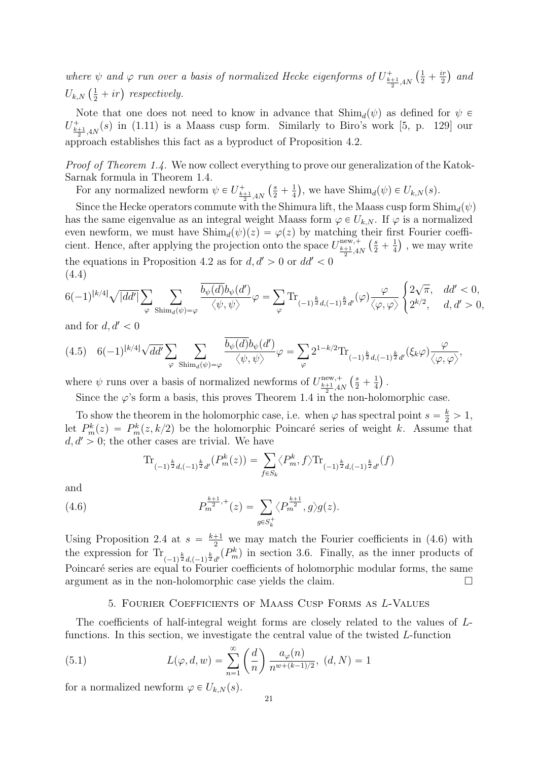where  $\psi$  and  $\varphi$  run over a basis of normalized Hecke eigenforms of  $U^{\pm}_{\frac{k+1}{2},4N}$  $\mathbf{r}$  $rac{1}{2} + \frac{ir}{2}$  $\frac{i r}{2}$ ) and Ï.  $U_{k,N} \left(\frac{1}{2}\right)$  $\frac{1}{2} + ir$ ) respectively.

Note that one does not need to know in advance that  $\text{Shim}_d(\psi)$  as defined for  $\psi \in$  $U^+_{\frac{k+1}{2},4N}(s)$  in (1.11) is a Maass cusp form. Similarly to Biro's work [5, p. 129] our approach establishes this fact as a byproduct of Proposition 4.2.

Proof of Theorem 1.4. We now collect everything to prove our generalization of the Katok-Sarnak formula in Theorem 1.4.

For any normalized newform  $\psi \in U^+_{\frac{k+1}{2},4N}$  $\left(\frac{s}{2} + \frac{1}{4}\right)$ 4 , we have  $\text{Shim}_d(\psi) \in U_{k,N}(s)$ .

Since the Hecke operators commute with the Shimura lift, the Maass cusp form  $\text{Shim}_d(\psi)$ has the same eigenvalue as an integral weight Maass form  $\varphi \in U_{k,N}$ . If  $\varphi$  is a normalized even newform, we must have  $\text{Shim}_d(\psi)(z) = \varphi(z)$  by matching their first Fourier coefficient. Hence, after applying the projection onto the space  $U_{\frac{k+1}{2},4N}^{\text{new},+}$ neir fir<br>  $\left(\frac{s}{2} + \frac{1}{4}\right)$ 4  $\mathsf{S}^{\dagger}$ , we may write the equations in Proposition 4.2 as for  $d, d' > 0$  or  $dd' < 0$ (4.4) #

$$
6(-1)^{\lfloor k/4 \rfloor} \sqrt{|dd'|} \sum_{\varphi} \sum_{\text{Shim}_d(\psi) = \varphi} \frac{\overline{b_\psi(d)} b_\psi(d')}{\langle \psi, \psi \rangle} \varphi = \sum_{\varphi} \text{Tr}_{(-1)^{\frac{k}{2}} d, (-1)^{\frac{k}{2}} d'}(\varphi) \frac{\varphi}{\langle \varphi, \varphi \rangle} \begin{cases} 2\sqrt{\pi}, & dd' < 0, \\ 2^{k/2}, & d, d' > 0, \end{cases}
$$

and for  $d, d' < 0$ 

$$
(4.5) \quad 6(-1)^{\lfloor k/4 \rfloor} \sqrt{dd'} \sum_{\varphi} \sum_{\text{Shim}_d(\psi) = \varphi} \frac{\overline{b_{\psi}(d)} b_{\psi}(d')}{\langle \psi, \psi \rangle} \varphi = \sum_{\varphi} 2^{1-k/2} \text{Tr}_{(-1)^{\frac{k}{2}} d, (-1)^{\frac{k}{2}} d'}(\xi_k \varphi) \frac{\varphi}{\langle \varphi, \varphi \rangle},
$$

where  $\psi$  runs over a basis of normalized newforms of  $U_{\frac{k+1}{2},4N}^{\text{new},+}$  $\left(\frac{s}{2} + \frac{1}{4}\right)$ 4 .

Since the  $\varphi$ 's form a basis, this proves Theorem 1.4 in the non-holomorphic case.

To show the theorem in the holomorphic case, i.e. when  $\varphi$  has spectral point  $s = \frac{k}{2} > 1$ , let  $P_m^k(z) = P_m^k(z, k/2)$  be the holomorphic Poincaré series of weight k. Assume that  $d, d' > 0$ ; the other cases are trivial. We have<br>  $\text{Tr}_{(-1)^{\frac{k}{2}}d}(\bigcap_{j=1}^{k}P_m^k(z)) = \sum_{j=1}^{k}$ 

$$
\operatorname{Tr}_{(-1)^{\frac{k}{2}}d,(-1)^{\frac{k}{2}}d'}(P_m^k(z)) = \sum_{f \in S_k} \langle P_m^k, f \rangle \operatorname{Tr}_{(-1)^{\frac{k}{2}}d,(-1)^{\frac{k}{2}}d'}(f)
$$

and

(4.6) 
$$
P_m^{\frac{k+1}{2},+}(z) = \sum_{g \in S_k^+} \langle P_m^{\frac{k+1}{2}}, g \rangle g(z).
$$

Using Proposition 2.4 at  $s = \frac{k+1}{2}$  we may match the Fourier coefficients in (4.6) with the expression for  $\text{Tr}_{(-1)^{\frac{k}{2}}d,(-1)^{\frac{k}{2}}d'}(P_m^k)$  in section 3.6. Finally, as the inner products of Poincaré series are equal to Fourier coefficients of holomorphic modular forms, the same argument as in the non-holomorphic case yields the claim.

#### 5. Fourier Coefficients of Maass Cusp Forms as L-Values

The coefficients of half-integral weight forms are closely related to the values of Lfunctions. In this section, we investigate the central value of the twisted L-function  $\frac{1}{\sqrt{2}}$ 

(5.1) 
$$
L(\varphi, d, w) = \sum_{n=1}^{\infty} \left(\frac{d}{n}\right) \frac{a_{\varphi}(n)}{n^{w + (k-1)/2}}, \ (d, N) = 1
$$

for a normalized newform  $\varphi \in U_{k,N}(s)$ .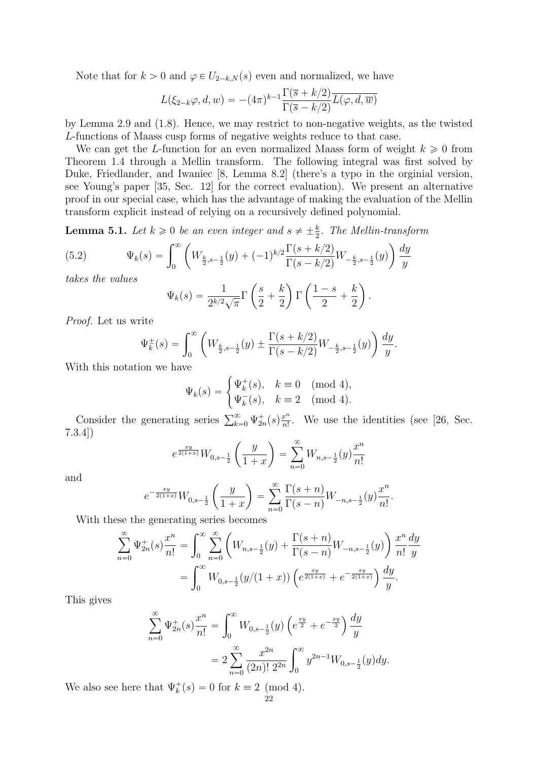Note that for  $k > 0$  and  $\varphi \in U_{2-k,N}(s)$  even and normalized, we have

$$
L(\xi_{2-k}\varphi, d, w) = -(4\pi)^{k-1} \frac{\Gamma(\overline{s} + k/2)}{\Gamma(\overline{s} - k/2)} \overline{L(\varphi, d, \overline{w})}
$$

by Lemma 2.9 and (1.8). Hence, we may restrict to non-negative weights, as the twisted L-functions of Maass cusp forms of negative weights reduce to that case.

We can get the L-function for an even normalized Maass form of weight  $k \geqslant 0$  from Theorem 1.4 through a Mellin transform. The following integral was first solved by Duke, Friedlander, and Iwaniec [8, Lemma 8.2] (there's a typo in the orginial version, see Young's paper [35, Sec. 12] for the correct evaluation). We present an alternative proof in our special case, which has the advantage of making the evaluation of the Mellin transform explicit instead of relying on a recursively defined polynomial.

**Lemma 5.1.** Let  $k \geq 0$  be an even integer and  $s \neq \pm \frac{k}{2}$ . The Mellin-transform

(5.2) 
$$
\Psi_k(s) = \int_0^\infty \left( W_{\frac{k}{2}, s - \frac{1}{2}}(y) + (-1)^{k/2} \frac{\Gamma(s + k/2)}{\Gamma(s - k/2)} W_{-\frac{k}{2}, s - \frac{1}{2}}(y) \right) \frac{dy}{y}
$$
 takes the values

takes the values

$$
\Psi_k(s) = \frac{1}{2^{k/2}\sqrt{\pi}} \Gamma\left(\frac{s}{2} + \frac{k}{2}\right) \Gamma\left(\frac{1-s}{2} + \frac{k}{2}\right).
$$

Proof. Let us write

$$
\Psi_k^{\pm}(s) = \int_0^{\infty} \left( W_{\frac{k}{2}, s - \frac{1}{2}}(y) \pm \frac{\Gamma(s + k/2)}{\Gamma(s - k/2)} W_{-\frac{k}{2}, s - \frac{1}{2}}(y) \right) \frac{dy}{y}.
$$

With this notation we have

$$
\Psi_k(s) = \begin{cases} \Psi_k^+(s), & k \equiv 0 \pmod{4}, \\ \Psi_k^-(s), & k \equiv 2 \pmod{4}. \end{cases}
$$

Consider the generating series  $\sum_{k=0}^{\infty} \Psi_{2n}^{+}(s) \frac{x^{n}}{n!}$  $\frac{x^n}{n!}$ . We use the identities (see [26, Sec. 7.3.4]) ˆ ˙

$$
e^{\frac{xy}{2(1+x)}}W_{0,s-\frac{1}{2}}\left(\frac{y}{1+x}\right) = \sum_{n=0}^{\infty} W_{n,s-\frac{1}{2}}(y)\frac{x^n}{n!}
$$

and

$$
e^{-\frac{xy}{2(1+x)}}W_{0,s-\frac{1}{2}}\left(\frac{y}{1+x}\right)=\sum_{n=0}^{\infty}\frac{\Gamma(s+n)}{\Gamma(s-n)}W_{-n,s-\frac{1}{2}}(y)\frac{x^n}{n!}.
$$

With these the generating series becomes ˆ

$$
\sum_{n=0}^{\infty} \Psi_{2n}^{+}(s) \frac{x^{n}}{n!} = \int_{0}^{\infty} \sum_{n=0}^{\infty} \left( W_{n,s-\frac{1}{2}}(y) + \frac{\Gamma(s+n)}{\Gamma(s-n)} W_{-n,s-\frac{1}{2}}(y) \right) \frac{x^{n}}{n!} \frac{dy}{y}
$$

$$
= \int_{0}^{\infty} W_{0,s-\frac{1}{2}}(y/(1+x)) \left( e^{\frac{xy}{2(1+x)}} + e^{-\frac{xy}{2(1+x)}} \right) \frac{dy}{y}.
$$

This gives

$$
\sum_{n=0}^{\infty} \Psi_{2n}^{+}(s) \frac{x^{n}}{n!} = \int_{0}^{\infty} W_{0,s-\frac{1}{2}}(y) \left(e^{\frac{xy}{2}} + e^{-\frac{xy}{2}}\right) \frac{dy}{y}
$$

$$
= 2 \sum_{n=0}^{\infty} \frac{x^{2n}}{(2n)! 2^{2n}} \int_{0}^{\infty} y^{2n-1} W_{0,s-\frac{1}{2}}(y) dy.
$$

We also see here that  $\Psi_k^+(s) = 0$  for  $k \equiv 2 \pmod{4}$ .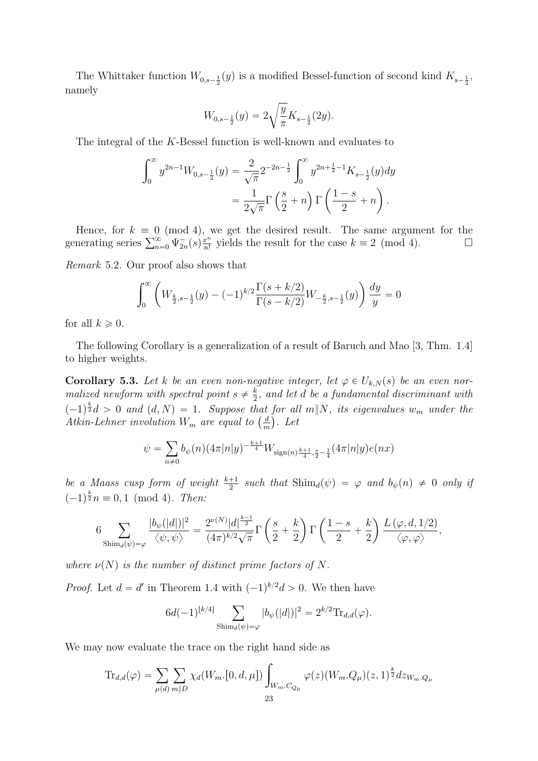The Whittaker function  $W_{0,s-\frac{1}{2}}(y)$  is a modified Bessel-function of second kind  $K_{s-\frac{1}{2}}$ , namely

$$
W_{0,s-\frac{1}{2}}(y) = 2\sqrt{\frac{y}{\pi}}K_{s-\frac{1}{2}}(2y).
$$

The integral of the K-Bessel function is well-known and evaluates to

$$
\int_0^\infty y^{2n-1} W_{0,s-\frac{1}{2}}(y) = \frac{2}{\sqrt{\pi}} 2^{-2n-\frac{1}{2}} \int_0^\infty y^{2n+\frac{1}{2}-1} K_{s-\frac{1}{2}}(y) dy
$$
  
= 
$$
\frac{1}{2\sqrt{\pi}} \Gamma\left(\frac{s}{2}+n\right) \Gamma\left(\frac{1-s}{2}+n\right).
$$

Hence, for  $k \equiv 0 \pmod{4}$ , we get the desired result. The same argument for the Hence, for  $k \equiv 0 \pmod{4}$ ,<br>generating series  $\sum_{n=0}^{\infty} \Psi_{2n}^{-}(s) \frac{x^n}{n!}$  $\frac{x^n}{n!}$  yields the result for the case  $k \equiv 2 \pmod{4}$ .

Remark 5.2. Our proof also shows that

$$
\int_0^\infty \left( W_{\frac{k}{2}, s - \frac{1}{2}}(y) - (-1)^{k/2} \frac{\Gamma(s + k/2)}{\Gamma(s - k/2)} W_{-\frac{k}{2}, s - \frac{1}{2}}(y) \right) \frac{dy}{y} = 0
$$

for all  $k \geqslant 0$ .

The following Corollary is a generalization of a result of Baruch and Mao [3, Thm. 1.4] to higher weights.

**Corollary 5.3.** Let k be an even non-negative integer, let  $\varphi \in U_{k,N}(s)$  be an even normalized newform with spectral point  $s \neq \frac{k}{2}$  $\frac{k}{2}$ , and let  $d$  be a fundamental discriminant with  $(-1)^{\frac{k}{2}}d > 0$  and  $(d, N) = 1$ . Suppose that for all m||N, its eigenvalues w<sub>m</sub> under the  $(-1)^{\overline{z}}d > 0$  and  $(d, N) = 1$ . Suppose that<br>Atkin-Lehner involution  $W_m$  are equal to  $\left(\frac{d}{dt}\right)$  $\frac{d}{m}$ ). Let

$$
\psi = \sum_{n \neq 0} b_{\psi}(n) (4\pi |n|y)^{-\frac{k+1}{4}} W_{\text{sign}(n)^{\frac{k+1}{4}, \frac{s}{2}-\frac{1}{4}}} (4\pi |n|y) e(nx)
$$

be a Maass cusp form of weight  $\frac{k+1}{2}$  such that  $\text{Shim}_d(\psi) = \varphi$  and  $b_{\psi}(n) \neq 0$  only if  $(-1)^{\frac{k}{2}}n \equiv 0, 1 \pmod{4}$ . Then:

$$
6\sum_{\text{Shim}_d(\psi)=\varphi}\frac{|b_{\psi}(|d|)|^2}{\left\langle \psi,\psi\right\rangle}=\frac{2^{\nu(N)}|d|^{\frac{k-1}{2}}}{(4\pi)^{k/2}\sqrt{\pi}}\Gamma\left(\frac{s}{2}+\frac{k}{2}\right)\Gamma\left(\frac{1-s}{2}+\frac{k}{2}\right)\frac{L\left(\varphi,d,1/2\right)}{\left\langle \varphi,\varphi\right\rangle},
$$

where  $\nu(N)$  is the number of distinct prime factors of N.

*Proof.* Let  $d = d'$  in Theorem 1.4 with  $(-1)^{k/2}d > 0$ . We then have

$$
6d(-1)^{[k/4]} \sum_{\text{Shim}_d(\psi)=\varphi} |b_{\psi}(|d|)|^2 = 2^{k/2} \text{Tr}_{d,d}(\varphi).
$$

We may now evaluate the trace on the right hand side as

$$
\text{Tr}_{d,d}(\varphi) = \sum_{\mu(d)} \sum_{m|D} \chi_d(W_{m}.[0, d, \mu]) \int_{W_m.C_{Q_\mu}} \varphi(z) (W_m.Q_\mu)(z, 1)^{\frac{k}{2}} dz_{W_m.Q_\mu}
$$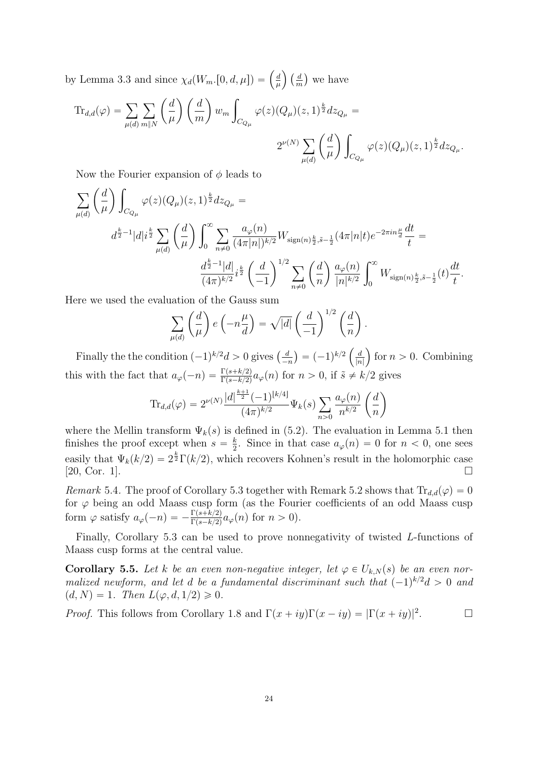by Lemma 3.3 and since  $\chi_d(W_m,[0, d, \mu]) = \left(\frac{d}{dt}\right)^{1/2}$  $\mu$  $\left( \frac{d}{d} \right)$ m we have ˆ ˙

$$
\text{Tr}_{d,d}(\varphi) = \sum_{\mu(d)} \sum_{m \| N} \left( \frac{d}{\mu} \right) \left( \frac{d}{m} \right) w_m \int_{C_{Q_{\mu}}} \varphi(z) (Q_{\mu})(z, 1)^{\frac{k}{2}} dz_{Q_{\mu}} =
$$
\n
$$
2^{\nu(N)} \sum_{\mu(d)} \left( \frac{d}{\mu} \right) \int_{C_{Q_{\mu}}} \varphi(z) (Q_{\mu})(z, 1)^{\frac{k}{2}} dz_{Q_{\mu}}.
$$

Now the Fourier expansion of  $\phi$  leads to ˆ ˙ ż

$$
\sum_{\mu(d)} \left(\frac{d}{\mu}\right) \int_{C_{Q_{\mu}}} \varphi(z) (Q_{\mu})(z,1)^{\frac{k}{2}} dz_{Q_{\mu}} =
$$
\n
$$
d^{\frac{k}{2}-1} |d| i^{\frac{k}{2}} \sum_{\mu(d)} \left(\frac{d}{\mu}\right) \int_0^{\infty} \sum_{n \neq 0} \frac{a_{\varphi}(n)}{(4\pi |n|)^{k/2}} W_{\text{sign}(n)\frac{k}{2},\tilde{s}-\frac{1}{2}} (4\pi |n| t) e^{-2\pi i n \frac{\mu}{d}} \frac{dt}{t} =
$$
\n
$$
\frac{d^{\frac{k}{2}-1} |d|}{(4\pi)^{k/2}} i^{\frac{k}{2}} \left(\frac{d}{-1}\right)^{1/2} \sum_{n \neq 0} \left(\frac{d}{n}\right) \frac{a_{\varphi}(n)}{|n|^{k/2}} \int_0^{\infty} W_{\text{sign}(n)\frac{k}{2},\tilde{s}-\frac{1}{2}}(t) \frac{dt}{t}.
$$

Here we used the evaluation of the Gauss sum ˆ ˙

$$
\sum_{\mu(d)} \left(\frac{d}{\mu}\right) e\left(-n\frac{\mu}{d}\right) = \sqrt{|d|} \left(\frac{d}{-1}\right)^{1/2} \left(\frac{d}{n}\right).
$$

Finally the the condition  $(-1)^{k/2}d > 0$  gives  $\left(\frac{d}{dt}\right)^{k/2}$  $-n$  $= (-1)^{k/2}$ d  $|n|$ for  $n > 0$ . Combining this with the fact that  $a_{\varphi}(-n) = \frac{\Gamma(s+k/2)}{\Gamma(s-k/2)} a_{\varphi}(n)$  for  $n > 0$ , if  $\tilde{s} \neq k/2$  gives ˆ ˙

$$
\text{Tr}_{d,d}(\varphi) = 2^{\nu(N)} \frac{|d|^{\frac{k+1}{2}} (-1)^{\lfloor k/4 \rfloor}}{(4\pi)^{k/2}} \Psi_k(s) \sum_{n>0} \frac{a_\varphi(n)}{n^{k/2}} \left(\frac{d}{n}\right)
$$

where the Mellin transform  $\Psi_k(s)$  is defined in (5.2). The evaluation in Lemma 5.1 then finishes the proof except when  $s = \frac{k}{2}$  $\frac{k}{2}$ . Since in that case  $a_{\varphi}(n) = 0$  for  $n < 0$ , one sees easily that  $\Psi_k(k/2) = 2^{\frac{k}{2}} \Gamma(k/2)$ , which recovers Kohnen's result in the holomorphic case  $[20, \text{Cor. 1}]$ .

Remark 5.4. The proof of Corollary 5.3 together with Remark 5.2 shows that  $\text{Tr}_{d,d}(\varphi) = 0$ for  $\varphi$  being an odd Maass cusp form (as the Fourier coefficients of an odd Maass cusp form  $\varphi$  satisfy  $a_{\varphi}(-n) = -\frac{\Gamma(s+k/2)}{\Gamma(s-k/2)} a_{\varphi}(n)$  for  $n > 0$ ).

Finally, Corollary 5.3 can be used to prove nonnegativity of twisted L-functions of Maass cusp forms at the central value.

**Corollary 5.5.** Let k be an even non-negative integer, let  $\varphi \in U_{k,N}(s)$  be an even normalized newform, and let d be a fundamental discriminant such that  $(-1)^{k/2}d > 0$  and  $(d, N) = 1$ . Then  $L(\varphi, d, 1/2) \geq 0$ .

*Proof.* This follows from Corollary 1.8 and  $\Gamma(x + iy)\Gamma(x - iy) = |\Gamma(x + iy)|^2$ .  $\Box$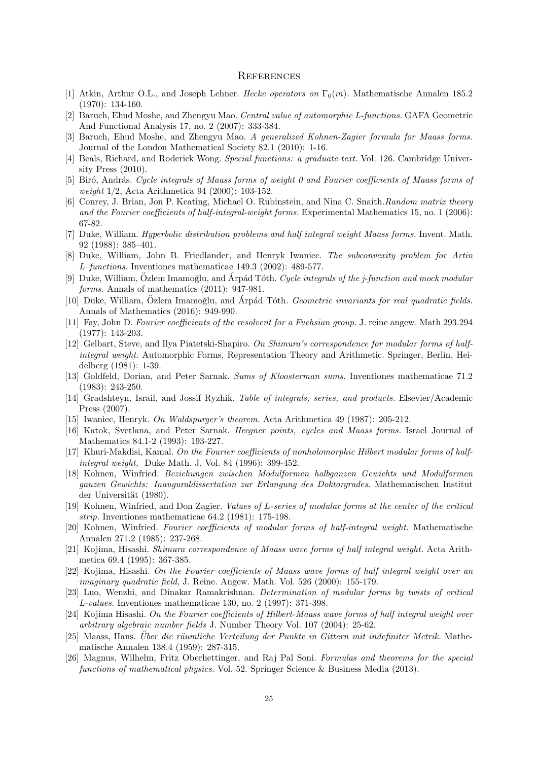#### **REFERENCES**

- [1] Atkin, Arthur O.L., and Joseph Lehner. Hecke operators on  $\Gamma_0(m)$ . Mathematische Annalen 185.2 (1970): 134-160.
- [2] Baruch, Ehud Moshe, and Zhengyu Mao. Central value of automorphic L-functions. GAFA Geometric And Functional Analysis 17, no. 2 (2007): 333-384.
- [3] Baruch, Ehud Moshe, and Zhengyu Mao. A generalized Kohnen-Zagier formula for Maass forms. Journal of the London Mathematical Society 82.1 (2010): 1-16.
- [4] Beals, Richard, and Roderick Wong. Special functions: a graduate text. Vol. 126. Cambridge University Press (2010).
- [5] Biró, András. Cycle integrals of Maass forms of weight 0 and Fourier coefficients of Maass forms of weight 1/2, Acta Arithmetica 94 (2000): 103-152.
- [6] Conrey, J. Brian, Jon P. Keating, Michael O. Rubinstein, and Nina C. Snaith.Random matrix theory and the Fourier coefficients of half-integral-weight forms. Experimental Mathematics 15, no. 1 (2006): 67-82.
- [7] Duke, William. Hyperbolic distribution problems and half integral weight Maass forms. Invent. Math. 92 (1988): 385–401.
- [8] Duke, William, John B. Friedlander, and Henryk Iwaniec. The subconvexity problem for Artin L–functions. Inventiones mathematicae 149.3 (2002): 489-577.
- [9] Duke, William, Ozlem Imamoğlu, and Árpád Tóth. Cycle integrals of the j-function and mock modular forms. Annals of mathematics (2011): 947-981.
- [10] Duke, William, Özlem Imamoğlu, and Árpád Tóth. Geometric invariants for real quadratic fields. Annals of Mathematics (2016): 949-990.
- [11] Fay, John D. Fourier coefficients of the resolvent for a Fuchsian group. J. reine angew. Math 293.294 (1977): 143-203.
- [12] Gelbart, Steve, and Ilya Piatetski-Shapiro. On Shimura's correspondence for modular forms of halfintegral weight. Automorphic Forms, Representation Theory and Arithmetic. Springer, Berlin, Heidelberg (1981): 1-39.
- [13] Goldfeld, Dorian, and Peter Sarnak. Sums of Kloosterman sums. Inventiones mathematicae 71.2 (1983): 243-250.
- [14] Gradshteyn, Israil, and Jossif Ryzhik. Table of integrals, series, and products. Elsevier/Academic Press (2007).
- [15] Iwaniec, Henryk. On Waldspurger's theorem. Acta Arithmetica 49 (1987): 205-212.
- [16] Katok, Svetlana, and Peter Sarnak. Heegner points, cycles and Maass forms. Israel Journal of Mathematics 84.1-2 (1993): 193-227.
- [17] Khuri-Makdisi, Kamal. On the Fourier coefficients of nonholomorphic Hilbert modular forms of halfintegral weight, Duke Math. J. Vol. 84 (1996): 399-452.
- [18] Kohnen, Winfried. Beziehungen zwischen Modulformen halbganzen Gewichts und Modulformen ganzen Gewichts: Inauguraldissertation zur Erlangung des Doktorgrades. Mathematischen Institut der Universität (1980).
- [19] Kohnen, Winfried, and Don Zagier. Values of L-series of modular forms at the center of the critical strip. Inventiones mathematicae 64.2 (1981): 175-198.
- [20] Kohnen, Winfried. Fourier coefficients of modular forms of half-integral weight. Mathematische Annalen 271.2 (1985): 237-268.
- [21] Kojima, Hisashi. Shimura correspondence of Maass wave forms of half integral weight. Acta Arithmetica 69.4 (1995): 367-385.
- [22] Kojima, Hisashi. On the Fourier coefficients of Maass wave forms of half integral weight over an imaginary quadratic field, J. Reine. Angew. Math. Vol. 526 (2000): 155-179.
- [23] Luo, Wenzhi, and Dinakar Ramakrishnan. Determination of modular forms by twists of critical L-values. Inventiones mathematicae 130, no. 2 (1997): 371-398.
- [24] Kojima Hisashi. On the Fourier coefficients of Hilbert-Maass wave forms of half integral weight over arbitrary algebraic number fields J. Number Theory Vol. 107 (2004): 25-62.
- [25] Maass, Hans. Über die räumliche Verteilung der Punkte in Gittern mit indefiniter Metrik. Mathematische Annalen 138.4 (1959): 287-315.
- [26] Magnus, Wilhelm, Fritz Oberhettinger, and Raj Pal Soni. Formulas and theorems for the special functions of mathematical physics. Vol. 52. Springer Science & Business Media (2013).